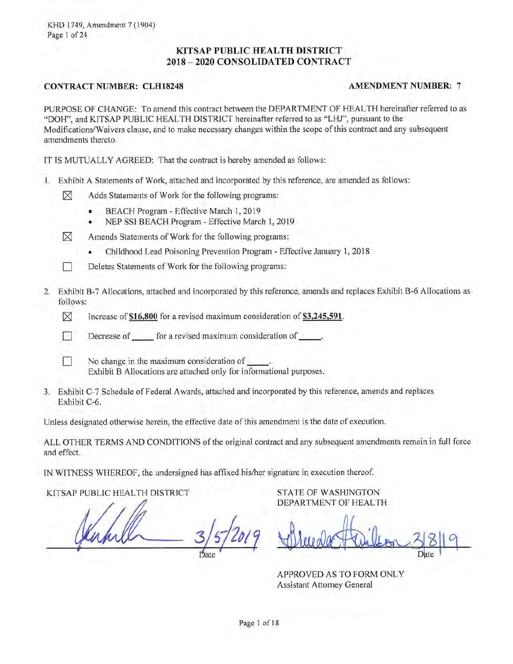KHD 1749, Amendment 7 (1904) Page 1 of 24

# KITSAP PUBLIC HEALTH DISTRICT 2018 - 2020 CONSOLIDATED CONTRACT

# **CONTRACT NUMBER: CLH18248**

#### **AMENDMENT NUMBER: 7**

PURPOSE OF CHANGE: To amend this contract between the DEPARTMENT OF HEALTH hereinafter referred to as "DOH", and KITSAP PUBLIC HEALTH DISTRICT hereinafter referred to as "LHJ", pursuant to the Modifications/Waivers clause, and to make necessary changes within the scope of this contract and any subsequent amendments thereto.

IT IS MUTUALLY AGREED: That the contract is hereby amended as follows:

- 1. Exhibit A Statements of Work, attached and incorporated by this reference, are amended as follows:
	- ⊠ Adds Statements of Work for the following programs:
		- BEACH Program Effective March 1, 2019
		- NEP SSI BEACH Program Effective March 1, 2019
	- $\boxtimes$ Amends Statements of Work for the following programs:
		- Childhood Lead Poisoning Prevention Program Effective January 1, 2018
	- Deletes Statements of Work for the following programs: **Time**
- 2. Exhibit B-7 Allocations, attached and incorporated by this reference, amends and replaces Exhibit B-6 Allocations as follows:
	- ⊠ Increase of \$16,800 for a revised maximum consideration of \$3,245,591.
	- $\lceil \rceil$ Decrease of for a revised maximum consideration of \_\_\_\_\_\_.
		- No change in the maximum consideration of Exhibit B Allocations are attached only for informational purposes.
- 3. Exhibit C-7 Schedule of Federal Awards, attached and incorporated by this reference, amends and replaces Exhibit C-6.

Unless designated otherwise herein, the effective date of this amendment is the date of execution.

ALL OTHER TERMS AND CONDITIONS of the original contract and any subsequent amendments remain in full force and effect.

IN WITNESS WHEREOF, the undersigned has affixed his/her signature in execution thereof.

KITSAP PUBLIC HEALTH DISTRICT

**STATE OF WASHINGTON** DEPARTMENT OF HEALTH

APPROVED AS TO FORM ONLY **Assistant Attorney General**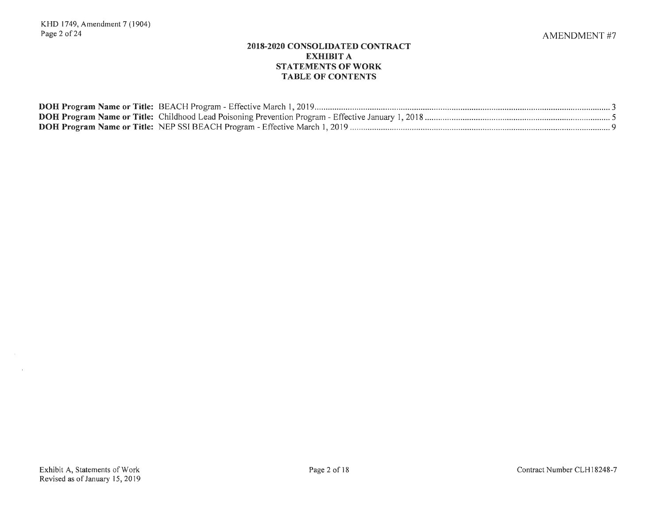# **2018-2020 CONSOLIDATED CONTRACT EXHIBIT A STATEMENTS OF WORK TABLE OF CONTENTS**

| DOH Program Name or Title: NEP SSI BEACH Program - Effective March 1, 2019 |
|----------------------------------------------------------------------------|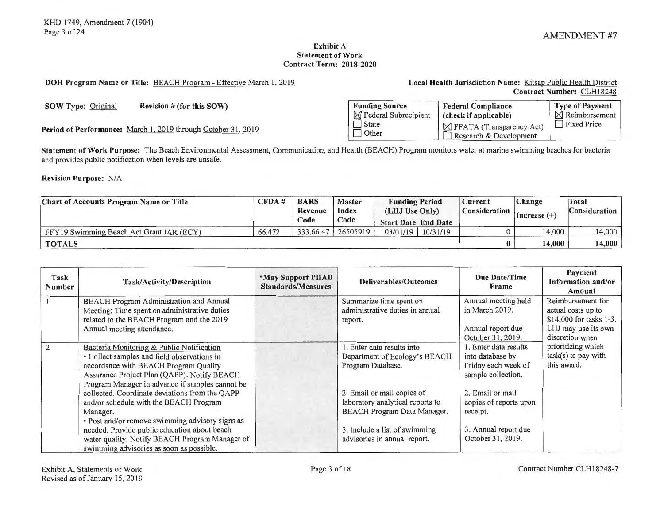#### **Exhibit A Statement of Work Contract Term: 2018-2020**

**DOH Program Name or Title:** BEACH Program - Effective March I, 2019 **Local Health Jurisdiction Name:** Kitsap Public Health District

**Contract Number:** CLH 18248

**SOW Type: Original Revision # (for this SOW)** 

Period of Performance: March 1, 2019 through October 31, 2019

| <b>Funding Source</b>            | <b>Federal Compliance</b>                                      | <b>Type of Payment</b>    |
|----------------------------------|----------------------------------------------------------------|---------------------------|
| $\boxtimes$ Federal Subrecipient | (check if applicable)                                          | $\boxtimes$ Reimbursement |
| State<br>  Other                 | $\boxtimes$ FFATA (Transparency Act)<br>Research & Development | Fixed Price               |

**Statement of Work Purpose:** The Beach Environmental Assessment, Communication, and Health (BEACH) Program monitors water at marine swimming beaches for bacteria and provides public notification when levels are unsafe.

**Revision Purpose: N/A** 

| <b>Chart of Accounts Program Name or Title</b> |        | <b>BARS</b><br>Revenue<br>Code | <b>Master</b><br>Index<br>Code | <b>Funding Period</b><br>(LHJ Use Only)<br><b>Start Date End Date</b> |          | Current<br>Consideration | <b>Change</b><br>Increase $(+)$ | Total<br><b>Consideration</b> |
|------------------------------------------------|--------|--------------------------------|--------------------------------|-----------------------------------------------------------------------|----------|--------------------------|---------------------------------|-------------------------------|
| FFY19 Swimming Beach Act Grant IAR (ECY)       | 66.472 | 333.66.47                      | 26505919                       | 03/01/19                                                              | 10/31/19 |                          | 14,000                          | 14,000                        |
| <b>TOTALS</b>                                  |        |                                |                                |                                                                       |          |                          | 14,000                          | 14.000                        |

| Task<br><b>Number</b> | Task/Activity/Description                                                                                                                                                                                                           | *May Support PHAB<br><b>Standards/Measures</b> | <b>Deliverables/Outcomes</b>                                                                         | Due Date/Time<br>Frame                                                                 | <b>Payment</b><br>Information and/or<br>Amount                                                               |
|-----------------------|-------------------------------------------------------------------------------------------------------------------------------------------------------------------------------------------------------------------------------------|------------------------------------------------|------------------------------------------------------------------------------------------------------|----------------------------------------------------------------------------------------|--------------------------------------------------------------------------------------------------------------|
|                       | <b>BEACH Program Administration and Annual</b><br>Meeting: Time spent on administrative duties<br>related to the BEACH Program and the 2019<br>Annual meeting attendance.                                                           |                                                | Summarize time spent on<br>administrative duties in annual<br>report.                                | Annual meeting held<br>in March 2019.<br>Annual report due<br>October 31, 2019.        | Reimbursement for<br>actual costs up to<br>\$14,000 for tasks 1-3.<br>LHJ may use its own<br>discretion when |
| 2                     | Bacteria Monitoring & Public Notification<br>• Collect samples and field observations in<br>accordance with BEACH Program Quality<br>Assurance Project Plan (QAPP). Notify BEACH<br>Program Manager in advance if samples cannot be |                                                | 1. Enter data results into<br>Department of Ecology's BEACH<br>Program Database.                     | 1. Enter data results<br>into database by<br>Friday each week of<br>sample collection. | prioritizing which<br>$task(s)$ to pay with<br>this award.                                                   |
|                       | collected. Coordinate deviations from the QAPP<br>and/or schedule with the BEACH Program<br>Manager.<br>· Post and/or remove swimming advisory signs as                                                                             |                                                | 2. Email or mail copies of<br>laboratory analytical reports to<br><b>BEACH Program Data Manager.</b> | 2. Email or mail<br>copies of reports upon<br>receipt.                                 |                                                                                                              |
|                       | needed. Provide public education about beach<br>water quality. Notify BEACH Program Manager of<br>swimming advisories as soon as possible.                                                                                          |                                                | 3. Include a list of swimming<br>advisories in annual report.                                        | 3. Annual report due<br>October 31, 2019.                                              |                                                                                                              |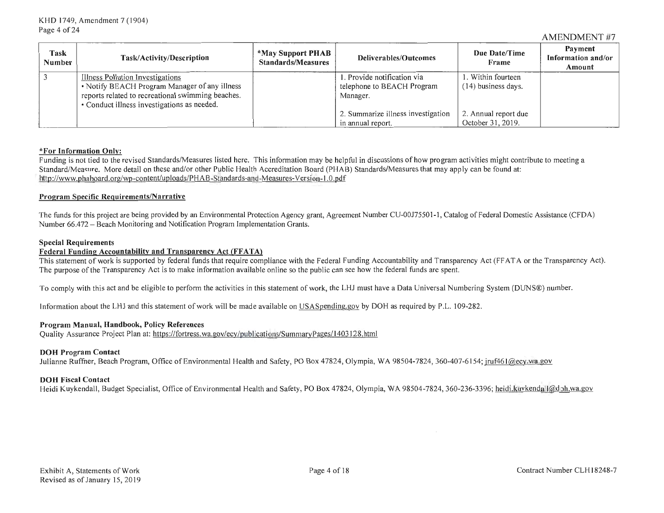#### AMENDMENT #7

| Task<br>Number | Task/Activity/Description                         | *May Support PHAB<br><b>Standards/Measures</b> | Deliverables/Outcomes              | Due Date/Time<br>Frame | Payment<br>Information and/or<br>Amount |
|----------------|---------------------------------------------------|------------------------------------------------|------------------------------------|------------------------|-----------------------------------------|
|                | Illness Pollution Investigations                  |                                                | 1. Provide notification via        | 1. Within fourteen     |                                         |
|                | • Notify BEACH Program Manager of any illness     |                                                | telephone to BEACH Program         | (14) business days.    |                                         |
|                | reports related to recreational swimming beaches. |                                                | Manager.                           |                        |                                         |
|                | • Conduct illness investigations as needed.       |                                                |                                    |                        |                                         |
|                |                                                   |                                                | 2. Summarize illness investigation | 2. Annual report due   |                                         |
|                |                                                   |                                                | in annual report.                  | October 31, 2019.      |                                         |

#### **\*For Information Only:**

Funding is not tied to the revised Standards/Measures listed here. This information may be helpful in discussions of how program activities might contribute to meeting a Standard/Measure. More detail on these and/or other Public Health Accreditation Board (PHAB) Standards/Measures that may apply can be found at: http://www.phaboard.org/wp-content/uploads/PH AB-Standards-and-Measures-Version-1 .0 .pdf

#### **Program Specific Requirements/Narrative**

The funds for this project are being provided by an Environmental Protection Agency grant, Agreement Number CU-00175501-1 , Catalog of Federal Domestic Assistance (CFDA) Number 66.472 - Beach Monitoring and Notification Program Implementation Grants.

#### **Special Requirements**

#### Federal Funding Accountability and Transparency Act (FFATA)

This statement of work is supported by federal funds that require compliance with the Federal Funding Accountability and Transparency Act (FF AT A or the Transparency Act). The purpose of the Transparency Act is to make information available online so the public can see how the federal funds are spent.

To comply with this act and be eligible to perform the activities in this statement of work, the LHJ must have a Data Universal Numbering System (DUNS®) number.

Information about the LHJ and this statement of work will be made available on USASpending.gov by DOH as required by P.L. 109-282.

#### **Program Manual, Handbook, Policy References**

Quality Assurance Project Plan at: https://fortress.wa.gov/ecy/publications/SummaryPages/1403128.html

#### **DOH Program Contact**

Julianne Ruffner, Beach Program, Office of Environmental Health and Safety, PO Box 47824, Olympia, WA 98504-7824, 360-407-6154; jruf461@ecy.wa.gov

#### **DOH Fiscal Contact**

Heidi Kuykendall, Budget Specialist, Office of Environmental Health and Safety, PO Box 47824, Olympia, WA 98504-7824, 360-236-3396; heidi.kuy/kendall@doh.wa.gov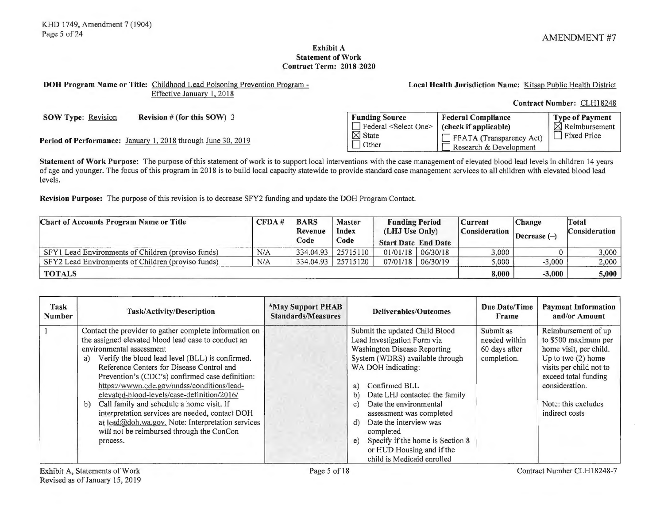Contract Number: CLH18248

**Local Health Jurisdiction Name:** Kitsap Public Health District

#### **Exhibit A Statement of Work Contract Term: 2018-2020**

# **DOH Program Name or Title:** Childhood Lead Poisoning Prevention Program - Effective January **1,** 2018

**SOW Type:** Revision **Revision # (for this SOW) 3 Funding Source** Federal Compliance Type of Payment **rate is a select One>** (check if applicable) **Produce** Reimbursement

**Period of Performance:** January 1, 2018 through June 30, 2019<br> **D** Other D Research & Development **Period of Performance:** January 1, 2018 through June 30, 2019

**Statement of Work Purpose:** The purpose of this statement of work is to support local interventions with the case management of elevated blood lead levels in children 14 years of age and younger. The focus of this program in 2018 is to build local capacity statewide to provide standard case management services to all children with elevated blood lead levels.

**Revision Purpose:** The purpose of this revision is to decrease SFY2 funding and update the DOH Program Contact.

| <b>Chart of Accounts Program Name or Title</b>     | CFDA# | <b>BARS</b><br>Revenue<br>Code | <b>Master</b><br>Index<br>Code | <b>Funding Period</b><br>(LHJ Use Only)<br><b>Start Date End Date</b> |                       | <b>Change</b><br>  Current<br>Consideration<br>Decrease $(-)$ |          | Total<br><b>Consideration</b> |
|----------------------------------------------------|-------|--------------------------------|--------------------------------|-----------------------------------------------------------------------|-----------------------|---------------------------------------------------------------|----------|-------------------------------|
| SFY1 Lead Environments of Children (proviso funds) | N/A   | 334.04.93                      | 25715110                       |                                                                       | $01/01/18$   06/30/18 | 3,000                                                         |          | 3,000                         |
| SFY2 Lead Environments of Children (proviso funds) | N/A   | 334.04.93                      | 25715120                       |                                                                       | $07/01/18$ 06/30/19   | 5.000                                                         | $-3,000$ | 2,000                         |
| <b>TOTALS</b>                                      |       |                                |                                |                                                                       |                       | 8,000                                                         | $-3,000$ | $5{,}000$                     |

| Task<br><b>Number</b> | Task/Activity/Description                              | *May Support PHAB<br><b>Standards/Measures</b> | Deliverables/Outcomes                          | Due Date/Time<br>Frame | <b>Payment Information</b><br>and/or Amount |
|-----------------------|--------------------------------------------------------|------------------------------------------------|------------------------------------------------|------------------------|---------------------------------------------|
|                       | Contact the provider to gather complete information on |                                                | Submit the updated Child Blood                 | Submit as              | Reimbursement of up                         |
|                       | the assigned elevated blood lead case to conduct an    |                                                | Lead Investigation Form via                    | needed within          | to \$500 maximum per                        |
|                       | environmental assessment                               |                                                | <b>Washington Disease Reporting</b>            | 60 days after          | home visit, per child.                      |
|                       | Verify the blood lead level (BLL) is confirmed.<br>a)  |                                                | System (WDRS) available through                | completion.            | Up to two $(2)$ home                        |
|                       | Reference Centers for Disease Control and              |                                                | WA DOH indicating:                             |                        | visits per child not to                     |
|                       | Prevention's (CDC's) confirmed case definition:        |                                                |                                                |                        | exceed total funding                        |
|                       | https://wwwn.cdc.gov/nndss/conditions/lead-            |                                                | Confirmed BLL<br>a)                            |                        | consideration.                              |
|                       | elevated-blood-levels/case-definition/2016/            |                                                | Date LHJ contacted the family<br>b)            |                        |                                             |
|                       | Call family and schedule a home visit. If<br>b)        |                                                | Date the environmental<br>$\mathbf{c}$         |                        | Note: this excludes                         |
|                       | interpretation services are needed, contact DOH        |                                                | assessment was completed                       |                        | indirect costs                              |
|                       | at lead@doh.wa.gov. Note: Interpretation services      |                                                | Date the interview was<br>d)                   |                        |                                             |
|                       | will not be reimbursed through the ConCon              |                                                | completed                                      |                        |                                             |
|                       | process.                                               |                                                | Specify if the home is Section 8<br>$\epsilon$ |                        |                                             |
|                       |                                                        |                                                | or HUD Housing and if the                      |                        |                                             |
|                       |                                                        |                                                | child is Medicaid enrolled                     |                        |                                             |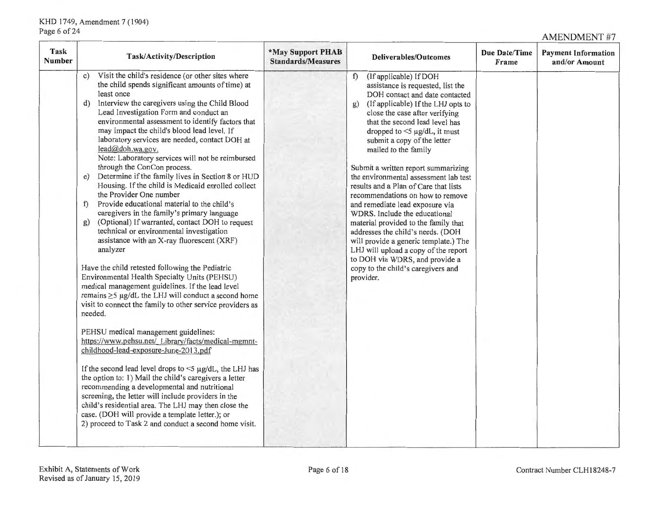AMENDMENT #7

| Task<br><b>Number</b> | Task/Activity/Description                                                                                                                                                                                                                                                                                                                                                                                                                                                                                                                                                                                                                                                                                                                                                                                                                                                                                                                                                                                                                                                                                                                                                                                                                                                                                                                                                                                                                                                                                                                                                                                                                                                                                                                                      | *May Support PHAB<br><b>Standards/Measures</b> | <b>Deliverables/Outcomes</b>                                                                                                                                                                                                                                                                                                                                                                                                                                                                                                                                                                                                                                                                                                                                                                        | Due Date/Time<br>Frame | <b>Payment Information</b><br>and/or Amount |
|-----------------------|----------------------------------------------------------------------------------------------------------------------------------------------------------------------------------------------------------------------------------------------------------------------------------------------------------------------------------------------------------------------------------------------------------------------------------------------------------------------------------------------------------------------------------------------------------------------------------------------------------------------------------------------------------------------------------------------------------------------------------------------------------------------------------------------------------------------------------------------------------------------------------------------------------------------------------------------------------------------------------------------------------------------------------------------------------------------------------------------------------------------------------------------------------------------------------------------------------------------------------------------------------------------------------------------------------------------------------------------------------------------------------------------------------------------------------------------------------------------------------------------------------------------------------------------------------------------------------------------------------------------------------------------------------------------------------------------------------------------------------------------------------------|------------------------------------------------|-----------------------------------------------------------------------------------------------------------------------------------------------------------------------------------------------------------------------------------------------------------------------------------------------------------------------------------------------------------------------------------------------------------------------------------------------------------------------------------------------------------------------------------------------------------------------------------------------------------------------------------------------------------------------------------------------------------------------------------------------------------------------------------------------------|------------------------|---------------------------------------------|
|                       | Visit the child's residence (or other sites where<br>$\mathbf{c})$<br>the child spends significant amounts of time) at<br>least once<br>Interview the caregivers using the Child Blood<br>d)<br>Lead Investigation Form and conduct an<br>environmental assessment to identify factors that<br>may impact the child's blood lead level. If<br>laboratory services are needed, contact DOH at<br>lead@doh.wa.gov.<br>Note: Laboratory services will not be reimbursed<br>through the ConCon process.<br>Determine if the family lives in Section 8 or HUD<br>e)<br>Housing. If the child is Medicaid enrolled collect<br>the Provider One number<br>Provide educational material to the child's<br>f<br>caregivers in the family's primary language<br>(Optional) If warranted, contact DOH to request<br>g)<br>technical or environmental investigation<br>assistance with an X-ray fluorescent (XRF)<br>analyzer<br>Have the child retested following the Pediatric<br>Environmental Health Specialty Units (PEHSU)<br>medical management guidelines. If the lead level<br>remains $\geq$ 5 µg/dL the LHJ will conduct a second home<br>visit to connect the family to other service providers as<br>needed.<br>PEHSU medical management guidelines:<br>https://www.pehsu.net/ Library/facts/medical-mgmnt-<br>childhood-lead-exposure-June-2013.pdf<br>If the second lead level drops to $\leq$ $\mu$ g/dL, the LHJ has<br>the option to: 1) Mail the child's caregivers a letter<br>recommending a developmental and nutritional<br>screening, the letter will include providers in the<br>child's residential area. The LHJ may then close the<br>case. (DOH will provide a template letter.); or<br>2) proceed to Task 2 and conduct a second home visit. |                                                | (If applicable) If DOH<br>f<br>assistance is requested, list the<br>DOH contact and date contacted<br>(If applicable) If the LHJ opts to<br>g)<br>close the case after verifying<br>that the second lead level has<br>dropped to $\leq$ 5 µg/dL, it must<br>submit a copy of the letter<br>mailed to the family<br>Submit a written report summarizing<br>the environmental assessment lab test<br>results and a Plan of Care that lists<br>recommendations on how to remove<br>and remediate lead exposure via<br>WDRS. Include the educational<br>material provided to the family that<br>addresses the child's needs. (DOH<br>will provide a generic template.) The<br>LHJ will upload a copy of the report<br>to DOH via WDRS, and provide a<br>copy to the child's caregivers and<br>provider. |                        |                                             |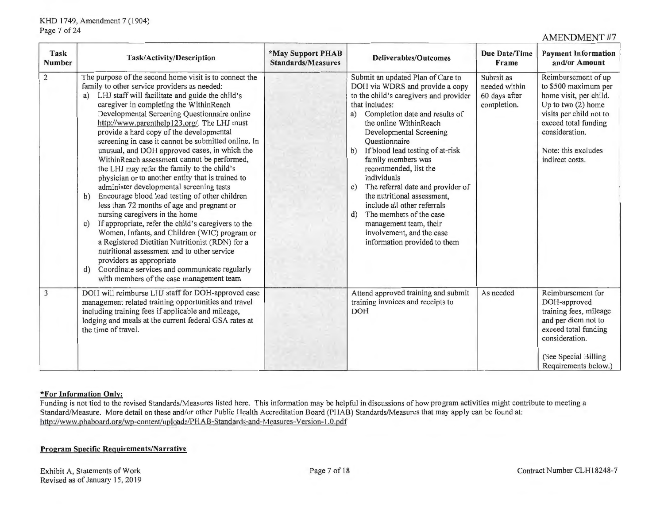AMENDMENT #7

| Task<br><b>Number</b> | Task/Activity/Description                                                                                                                                                                                                                                                                                                                                                                                                                                                                                                                                                                                                                                                                                                                                                                                                                                                                                                                                                                                                                                                                                                                                     | *May Support PHAB<br><b>Standards/Measures</b> | <b>Deliverables/Outcomes</b>                                                                                                                                                                                                                                                                                                                                                                                                                                                                                                                                                                       | <b>Due Date/Time</b><br>Frame                              | <b>Payment Information</b><br>and/or Amount                                                                                                                                                                  |
|-----------------------|---------------------------------------------------------------------------------------------------------------------------------------------------------------------------------------------------------------------------------------------------------------------------------------------------------------------------------------------------------------------------------------------------------------------------------------------------------------------------------------------------------------------------------------------------------------------------------------------------------------------------------------------------------------------------------------------------------------------------------------------------------------------------------------------------------------------------------------------------------------------------------------------------------------------------------------------------------------------------------------------------------------------------------------------------------------------------------------------------------------------------------------------------------------|------------------------------------------------|----------------------------------------------------------------------------------------------------------------------------------------------------------------------------------------------------------------------------------------------------------------------------------------------------------------------------------------------------------------------------------------------------------------------------------------------------------------------------------------------------------------------------------------------------------------------------------------------------|------------------------------------------------------------|--------------------------------------------------------------------------------------------------------------------------------------------------------------------------------------------------------------|
| $\overline{2}$        | The purpose of the second home visit is to connect the<br>family to other service providers as needed:<br>LHJ staff will facilitate and guide the child's<br>a)<br>caregiver in completing the WithinReach<br>Developmental Screening Questionnaire online<br>http://www.parenthelp123.org/. The LHJ must<br>provide a hard copy of the developmental<br>screening in case it cannot be submitted online. In<br>unusual, and DOH approved cases, in which the<br>WithinReach assessment cannot be performed,<br>the LHJ may refer the family to the child's<br>physician or to another entity that is trained to<br>administer developmental screening tests<br>Encourage blood lead testing of other children<br>b)<br>less than 72 months of age and pregnant or<br>nursing caregivers in the home<br>If appropriate, refer the child's caregivers to the<br>$\mathbf{c}$<br>Women, Infants, and Children (WIC) program or<br>a Registered Dietitian Nutritionist (RDN) for a<br>nutritional assessment and to other service<br>providers as appropriate<br>Coordinate services and communicate regularly<br>d)<br>with members of the case management team |                                                | Submit an updated Plan of Care to<br>DOH via WDRS and provide a copy<br>to the child's caregivers and provider<br>that includes:<br>Completion date and results of<br>a)<br>the online WithinReach<br>Developmental Screening<br>Questionnaire<br>If blood lead testing of at-risk<br>b)<br>family members was<br>recommended, list the<br>individuals<br>The referral date and provider of<br>$\mathbf{c}$ )<br>the nutritional assessment,<br>include all other referrals<br>The members of the case<br>d<br>management team, their<br>involvement, and the case<br>information provided to them | Submit as<br>needed within<br>60 days after<br>completion. | Reimbursement of up<br>to \$500 maximum per<br>home visit, per child.<br>Up to two $(2)$ home<br>visits per child not to<br>exceed total funding<br>consideration.<br>Note: this excludes<br>indirect costs. |
| 3                     | DOH will reimburse LHJ staff for DOH-approved case<br>management related training opportunities and travel<br>including training fees if applicable and mileage,<br>lodging and meals at the current federal GSA rates at<br>the time of travel.                                                                                                                                                                                                                                                                                                                                                                                                                                                                                                                                                                                                                                                                                                                                                                                                                                                                                                              |                                                | Attend approved training and submit<br>training invoices and receipts to<br>DOH                                                                                                                                                                                                                                                                                                                                                                                                                                                                                                                    | As needed                                                  | Reimbursement for<br>DOH-approved<br>training fees, mileage<br>and per diem not to<br>exceed total funding<br>consideration.<br>(See Special Billing<br>Requirements below.)                                 |

# **\*For Information Only:**

Funding is not tied to the revised Standards/Measures listed here. This information may be helpful in discussions of how program activities might contribute to meeting a Standard/Measure. More detail on these and/or other Public Health Accreditation Board (PHAB) Standards/Measures that may apply can be found at: http://www.phaboard.org/wp-content/uploads/PHAB-Standards-and-Measures-Version-1.0.pdf

# **Program Specific Requirements/Narrative**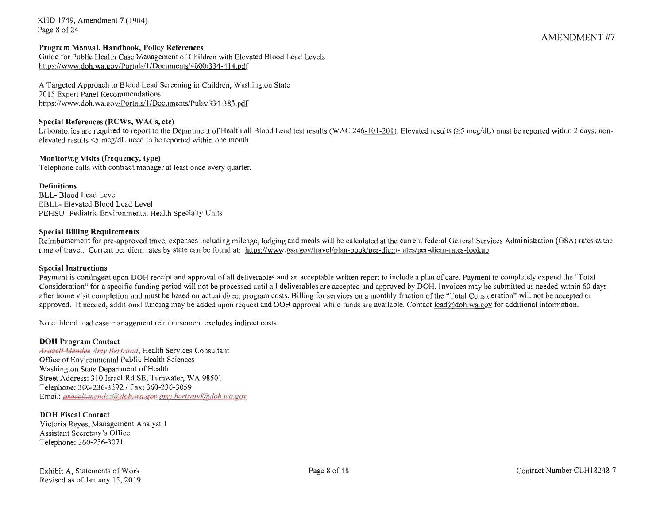KHO 1749, Amendment 7 (1904) Page 8 of 24

#### **Program Manual, Handbook, Policy References**

Guide for Public Health Case Management of Children with Elevated Blood Lead Levels https://www.doh.wa.gov/Portals/1 /Documents/4000/334-414.pdf

A Targeted Approach to Blood Lead Screening in Children, Washington State 2015 Expert Panel Recommendations https://www.doh.wa.gov/Portals/1/Documents/Pubs/334-383.pdf

#### **Special References (RCWs, WACs, etc)**

Laboratories are required to report to the Department of Health all Blood Lead test results (WAC 246-101-201). Elevated results ( $\geq$ 5 mcg/dL) must be reported within 2 days; nonelevated results  $\leq$ 5 mcg/dL need to be reported within one month.

#### **Monitoring Visits (frequency, type)**

Telephone calls with contract manager at least once every quarter.

#### **Definitions**

BLL- Blood Lead Level EBLL- Elevated Blood Lead Level PEHSU- Pediatric Environmental Health Specialty Units

#### **Special Billing Requirements**

Reimbursement for pre-approved travel expenses including mileage, lodging and meals will be calculated at the current federal General Services Administration (GSA) rates at the time of travel. Current per diem rates by state can be found at: https://www.gsa.gov/travel/plan-book/per-diem-rates/per-diem-rates-lookup

#### **Special Instructions**

Payment is contingent upon DOH receipt and approval of all deliverables and an acceptable written report to include a plan of care. Payment to completely expend the "Total Consideration" for a specific funding period will not be processed until all deliverables are accepted and approved by DOH . Invoices may be submitted as needed within 60 days after home visit completion and must be based on actual direct program costs. Billing for services on a monthly fraction of the "Total Consideration" will not be accepted or approved. If needed, additional funding may be added upon request and DOH approval while funds are available. Contact lead@doh.wa.gov for additional information.

Note: blood lead case management reimbursement excludes indirect costs.

#### **DOH Program Contact**

**Araceli Mendez Amy Bertrand, Health Services Consultant** Office of Environmental Public Health Sciences Washington State Department of Health Street Address: 3 IO Israel Rd SE, Tumwater, WA 9850 I Telephone: 360-236-3392 / Fax: 360-236-3059 Email: *araceli.mendez@doh.wa.gov amy.bertrand@doh.wa.gov* 

#### **DOH Fiscal Contact**

Victoria Reyes, Management Analyst 1 Assistant Secretary 's Office Telephone: 360-236-3071

AMENDMENT #7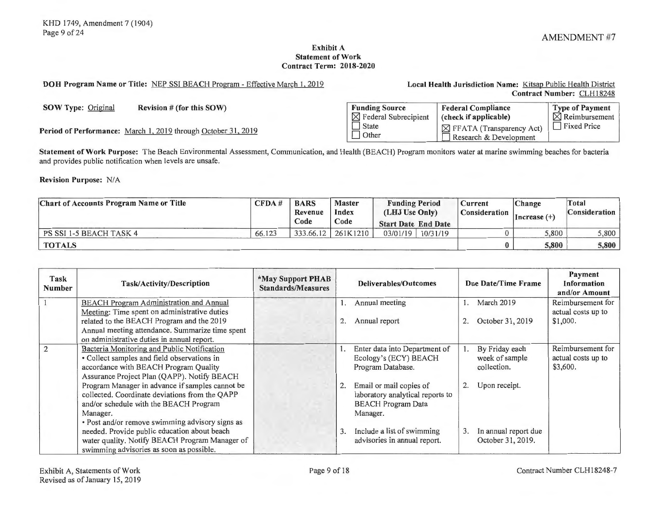#### **Exhibit A Statement of Work Contract Term: 2018-2020**

# **DOH Program Name or Title:** NEP SSI BEACH Program - Effective March I, 2019 **Local Health Jurisdiction Name :** Kitsap Public Health District

**Contract Number:** CLH 18248

**SOW Type:** Original **Revision # (for this SOW)** 

Period of Performance: March 1, 2019 through October 31, 2019

| <b>Funding Source</b>            | <b>Federal Compliance</b>                                      | Type of Payment           |
|----------------------------------|----------------------------------------------------------------|---------------------------|
| $\boxtimes$ Federal Subrecipient | (check if applicable)                                          | $\boxtimes$ Reimbursement |
| State<br>  Other                 | $\boxtimes$ FFATA (Transparency Act)<br>Research & Development | <b>Fixed Price</b>        |

**Statement of Work Purpose:** The Beach Environmental Assessment, Communication, and Health (BEACH) Program monitors water at marine swimming beaches for bacteria and provides public notification when levels are unsafe.

**Revision Purpose: N/A** 

| <b>Chart of Accounts Program Name or Title</b> |        | <b>BARS</b><br>CFDA#<br>Revenue | <b>Master</b><br>Index | <b>Funding Period</b><br>(LHJ Use Only) |          | Current<br><b>Consideration</b> | Change<br>$Increase (+)$ | Total<br><b>Consideration</b> |  |
|------------------------------------------------|--------|---------------------------------|------------------------|-----------------------------------------|----------|---------------------------------|--------------------------|-------------------------------|--|
|                                                |        | Code                            | Code                   | <b>Start Date End Date</b>              |          |                                 |                          |                               |  |
| PS SSI 1-5 BEACH TASK 4                        | 66.123 | 333.66.12                       | 261K1210               | 03/01/19                                | 10/31/19 |                                 | 5.800                    | 5,800                         |  |
| <b>TOTALS</b>                                  |        |                                 |                        |                                         |          |                                 | 5,800                    | 5,800                         |  |

| Task<br><b>Number</b> | Task/Activity/Description                       | <b>*May Support PHAB</b><br><b>Standards/Measures</b> | <b>Deliverables/Outcomes</b> |                                  | Due Date/Time Frame |                      | Payment<br><b>Information</b><br>and/or Amount |
|-----------------------|-------------------------------------------------|-------------------------------------------------------|------------------------------|----------------------------------|---------------------|----------------------|------------------------------------------------|
|                       | <b>BEACH Program Administration and Annual</b>  |                                                       |                              | Annual meeting                   |                     | March 2019           | Reimbursement for                              |
|                       | Meeting: Time spent on administrative duties    |                                                       |                              |                                  |                     |                      | actual costs up to                             |
|                       | related to the BEACH Program and the 2019       |                                                       |                              | Annual report                    | 2.                  | October 31, 2019     | \$1,000.                                       |
|                       | Annual meeting attendance. Summarize time spent |                                                       |                              |                                  |                     |                      |                                                |
|                       | on administrative duties in annual report.      |                                                       |                              |                                  |                     |                      |                                                |
| 2                     | Bacteria Monitoring and Public Notification     |                                                       |                              | Enter data into Department of    | Ι.                  | By Friday each       | Reimbursement for                              |
|                       | • Collect samples and field observations in     |                                                       |                              | Ecology's (ECY) BEACH            |                     | week of sample       | actual costs up to                             |
|                       | accordance with BEACH Program Quality           |                                                       |                              | Program Database.                |                     | collection.          | \$3,600.                                       |
|                       | Assurance Project Plan (QAPP). Notify BEACH     |                                                       |                              |                                  |                     |                      |                                                |
|                       | Program Manager in advance if samples cannot be |                                                       | 2.                           | Email or mail copies of          | 2.                  | Upon receipt.        |                                                |
|                       | collected. Coordinate deviations from the QAPP  |                                                       |                              | laboratory analytical reports to |                     |                      |                                                |
|                       | and/or schedule with the BEACH Program          |                                                       |                              | <b>BEACH Program Data</b>        |                     |                      |                                                |
|                       | Manager.                                        |                                                       |                              | Manager.                         |                     |                      |                                                |
|                       | · Post and/or remove swimming advisory signs as |                                                       |                              |                                  |                     |                      |                                                |
|                       | needed. Provide public education about beach    |                                                       | 3.                           | Include a list of swimming       | 3.                  | In annual report due |                                                |
|                       | water quality. Notify BEACH Program Manager of  |                                                       |                              | advisories in annual report.     |                     | October 31, 2019.    |                                                |
|                       | swimming advisories as soon as possible.        |                                                       |                              |                                  |                     |                      |                                                |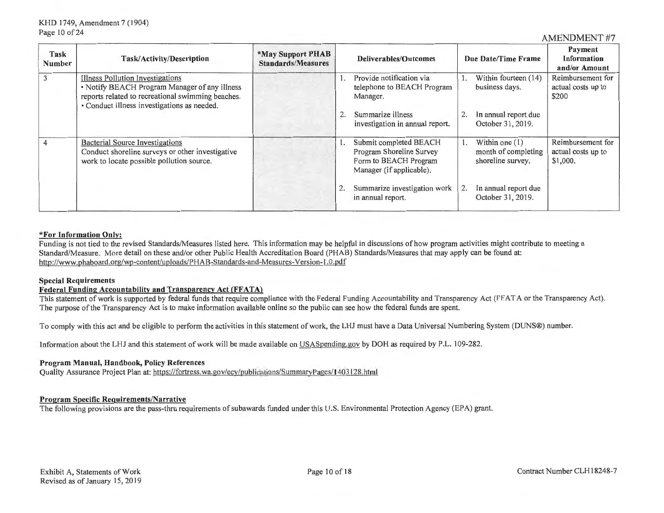| Task<br><b>Number</b> | <b>Task/Activity/Description</b>                                                                                                                                                      | *May Support PHAB<br><b>Standards/Measures</b> | <b>Deliverables/Outcomes</b>                                                                            |  | Due Date/Time Frame                                          | Payment<br><b>Information</b><br>and/or Amount      |
|-----------------------|---------------------------------------------------------------------------------------------------------------------------------------------------------------------------------------|------------------------------------------------|---------------------------------------------------------------------------------------------------------|--|--------------------------------------------------------------|-----------------------------------------------------|
|                       | Illness Pollution Investigations<br>• Notify BEACH Program Manager of any illness<br>reports related to recreational swimming beaches.<br>· Conduct illness investigations as needed. |                                                | Provide notification via<br>telephone to BEACH Program<br>Manager.                                      |  | Within fourteen (14)<br>business days.                       | Reimbursement for<br>actual costs up to<br>\$200    |
|                       |                                                                                                                                                                                       |                                                | Summarize illness<br>investigation in annual report.                                                    |  | In annual report due<br>October 31, 2019.                    |                                                     |
|                       | <b>Bacterial Source Investigations</b><br>Conduct shoreline surveys or other investigative<br>work to locate possible pollution source.                                               |                                                | Submit completed BEACH<br>Program Shoreline Survey<br>Form to BEACH Program<br>Manager (if applicable). |  | Within one $(1)$<br>month of completing<br>shoreline survey. | Reimbursement for<br>actual costs up to<br>\$1,000. |
|                       |                                                                                                                                                                                       |                                                | Summarize investigation work<br>in annual report.                                                       |  | In annual report due<br>October 31, 2019.                    |                                                     |

#### **\*For Information Only:**

Funding is not tied to the revised Standards/Measures listed here. This information may be helpful in discussions of how program activities might contribute to meeting a Standard/Measure. More detail on these and/or other Public Health Accreditation Board (PHAB) Standards/Measures that may apply can be found at: http://www.phaboard.org/wp-content/uploads/PHAB-Standards-and-Measures-Version-1.0.pdf

#### **Special Requirements**

#### **Federal Funding Accountability and Transparency Act (FFATA)**

This statement of work is supported by federal funds that require compliance with the Federal Funding Accountability and Transparency Act (FFAT A or the Transparency Act). The purpose of the Transparency Act is to make information available online so the public can see how the federal funds are spent.

To comply with this act and be eligible to perform the activities in this statement of work, the LHJ must have a Data Universal Numbering System (DUNS®) number.

Information about the LHJ and this statement of work will be made available on USA Spending.gov by DOH as required by P.L. 109-282.

#### **Program Manual, Handbook, Policy References**

Quality Assurance Project Plan at: https://fortress.wa.gov/ecy/publications/SummaryPages/ 1403128.html

#### **Program Specific Requirements/Narrative**

The following provisions are the pass-thru requirements of subawards funded under this U.S. Environmental Protection Agency (EPA) grant.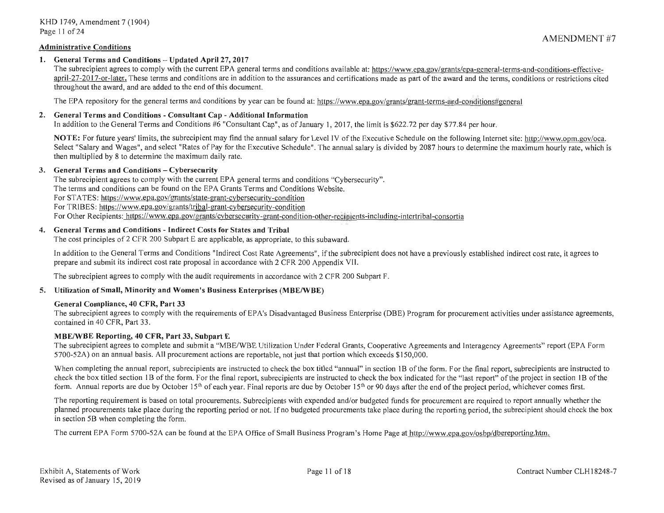## **Administrative Conditions**

# **1. General Terms and Conditions** - **Updated April** 27, **2017**

The subrecipient agrees to comply with the current EPA general terms and conditions available at: https://www.epa.gov/grants/epa-general-terms-and-conditions-effectiveapril-27-2017-or-later. These terms and conditions are in addition to the assurances and certifications made as part of the award and the terms, conditions or restrictions cited throughout the award, and are added to the end of this document.

The EPA repository for the general terms and conditions by year can be found at: https://www.epa.gov/grants/grant-terms-and-conditions#general

# **2. General Terms and Conditions** - **Consultant Cap** - **Additional Information**

In addition to the General Terms and Conditions #6 "Consultant Cap", as of January 1, 2017, the limit is \$622.72 per day \$77.84 per hour.

**NOTE:** For future years' limits, the subrecipient may find the annual salary for Level IV of the Executive Schedule on the following Internet site: http://www.opm.gov/oca. Select "Salary and Wages", and select "Rates of Pay for the Executive Schedule". The annual salary is divided by 2087 hours to determine the maximum hourly rate, which is then multiplied by 8 to determine the maximum daily rate.

#### **3.** General Terms and Conditions – Cybersecurity

The subrecipient agrees to comply with the current EPA general terms and conditions "Cybersecurity". The terms and conditions can be found on the EPA Grants Terms and Conditions Website. For ST ATES: https://www.epa.gov/grants/state-grant-cybersecurity-condition For TRIBES: https://www.epa.gov/grants/tribal-grant-cybersecurity-condition For Other Recipients: https://www.epa.gov/grants/cybersecurity-grant-condition-other-recipients-including-intertribal-consortia

#### **4. General Terms and Conditions** - **Indirect Costs for States and Tribal**

The cost principles of 2 CFR 200 Subpart E are applicable, as appropriate, to this subaward.

In addition to the General Terms and Conditions "Indirect Cost Rate Agreements" , if the subrecipient does not have a previously established indirect cost rate, it agrees to prepare and submit its indirect cost rate proposal in accordance with 2 CFR 200 Appendix VII.

The subrecipient agrees to comply with the audit requirements in accordance with 2 CFR 200 Subpart F.

#### **5. Utilization of Small, Minority and Women's Business Enterprises (MBE/WBE)**

#### **General Compliance, 40 CFR, Part 33**

The subrecipient agrees to comply with the requirements of EPA's Disadvantaged Business Enterprise (DBE) Program for procurement activities under assistance agreements, contained in 40 CFR, Part 33.

#### **MBE/WBE Reporting, 40 CFR, Part 33, Subpart E**

The subrecipient agrees to complete and submit a "MBE/WBE Utilization Under Federal Grants, Cooperative Agreements and Interagency Agreements" report (EPA Form 5700-52A) on an annual basis. All procurement actions are reportable, not just that portion which exceeds \$150,000.

When completing the annual report, subrecipients are instructed to check the box titled "annual" in section 1B of the form. For the final report, subrecipients are instructed to check the box titled section 1B of the form. For the final report, subrecipients are instructed to check the box indicated for the "last report" of the project in section 1B of the form. Annual reports are due by October 15<sup>th</sup> of each year. Final reports are due by October 15<sup>th</sup> or 90 days after the end of the project period, whichever comes first.

The reporting requirement is based on total procurements. Subrecipients with expended and/or budgeted funds for procurement are required to report annually whether the planned procurements take place during the reporting period or not. lfno budgeted procurements take place during the reporting period, the subrecipient should check the box in section 58 when completing the form.

The current EPA Form 5700-52A can be found at the EPA Office of Small Business Program's Home Page at http://www.epa.gov/osbp/dbereporting.htm.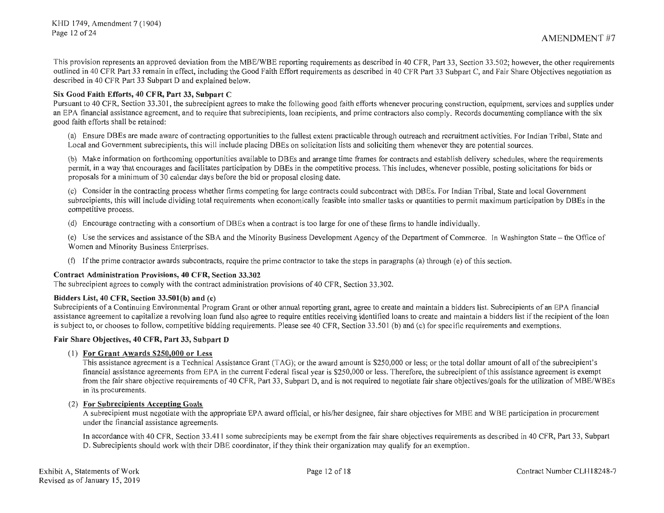This provision represents an approved deviation from the MBE/WBE reporting requirements as described in 40 CFR, Part 33, Section 33.502; however, the other requirements outlined in 40 CFR Part 33 remain in effect, including the Good Faith Effort requirements as described in 40 CFR Part 33 Subpart C, and Fair Share Objectives negotiation as described in 40 CFR Part 33 Subpart D and explained below.

# **Six Good Faith Efforts, 40 CFR, Part 33, Subpart C**

Pursuant to 40 CFR, Section 33.301, the subrecipient agrees to make the following good faith efforts whenever procuring construction, equipment, services and supplies under an EPA financial assistance agreement, and to require that subrecipients, loan recipients, and prime contractors also comply. Records documenting compliance with the six good faith efforts shall be retained:

(a) Ensure DB Es are made aware of contracting opportunities to the fullest extent practicable through outreach and recruitment activities. For Indian Tribal, State and Local and Government subrecipients, this will include placing DBEs on solicitation lists and soliciting them whenever they are potential sources.

(b) Make information on forthcoming opportunities available to DB Es and arrange time frames for contracts and establish delivery schedules, where the requirements permit, in a way that encourages and facilitates participation by DBEs in the competitive process. This includes, whenever possible, posting solicitations for bids or proposals for a minimum of 30 calendar days before the bid or proposal closing date.

(c) Consider in the contracting process whether firms competing for large contracts could subcontract with DBEs. For Indian Tribal, State and local Government subrecipients, this will include dividing total requirements when economically feasible into smaller tasks or quantities to permit maximum participation by DBEs in the competitive process.

(d) Encourage contracting with a consortium ofDBEs when a contract is too large for one of these firms to handle individually.

(e) Use the services and assistance of the SBA and the Minority Business Development Agency of the Department of Commerce. In Washington State - the Office of Women and Minority Business Enterprises.

(t) If the prime contractor awards subcontracts, require the prime contractor to take the steps in paragraphs (a) through (e) of this section.

#### **Contract Administration Provisions, 40 CFR, Section 33.302**

The subrecipient agrees to comply with the contract administration provisions of 40 CFR, Section 33 .302.

#### **Bidders List, 40 CFR, Section 33.SOl(b) and (c)**

Subrecipients of a Continuing Environmental Program Grant or other annual reporting grant, agree to create and maintain a bidders list. Subrecipients of an EPA financial assistance agreement to capitalize a revolving loan fund also agree to require entities receiving identified loans to create and maintain a bidders list if the recipient of the loan is subject to, or chooses to follow, competitive bidding requirements. Please see 40 CFR, Section 33.501 (b) and (c) for specific requirements and exemptions.

#### **Fair Share Objectives, 40 CFR, Part 33, Subpart D**

# (1) **For Grant Awards \$250,000 or Less**

This assistance agreement is a Technical Assistance Grant (TAG); or the award amount is \$250,000 or less; or the total dollar amount of all of the subrecipient's financial assistance agreements from EPA in the current Federal fiscal year is \$250,000 or less. Therefore, the subrecipient of this assistance agreement is exempt from the fair share objective requirements of 40 CFR, Part 33, Subpart D, and is not required to negotiate fair share objectives/goals for the utilization of MBE/WBEs in its procurements.

#### (2) **For Subrecipients Accepting Goals**

A subrecipient must negotiate with the appropriate EPA award official, or his/her designee, fair share objectives for MBE and WBE participation in procurement under the financial assistance agreements.

In accordance with 40 CFR, Section 33.411 some subrecipients may be exempt from the fair share objectives requirements as described in 40 CFR, Part 33, Subpart D. Subrecipients should work with their DBE coordinator, if they think their organization may qualify for an exemption.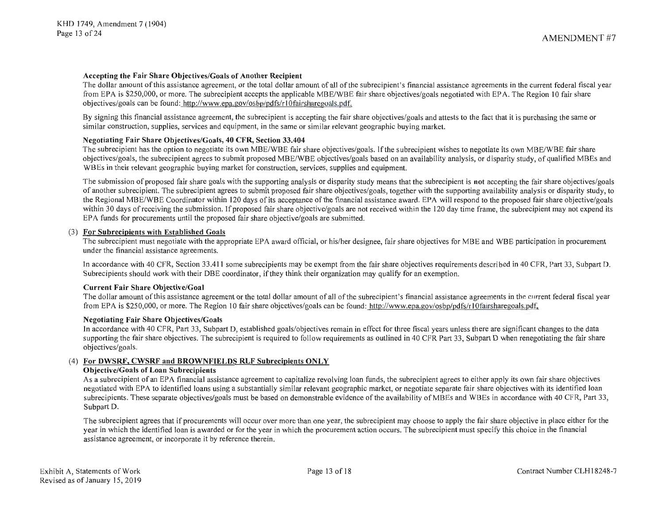# **Accepting the Fair Share Objectives/Goals of Another Recipient**

The dollar amount of this assistance agreement, or the total dollar amount of all of the subrecipient's financial assistance agreements in the current federal fiscal year from EPA is \$250,000, or more. The subrecipient accepts the applicable MBE/WBE fair share objectives/goals negotiated with EPA. The Region IO fair share objectives/goals can be found: http://www.epa.gov/osbp/pdfs/r I Ofairsharegoals.pdf.

By signing this financial assistance agreement, the subrecipient is accepting the fair share objectives/goals and attests to the fact that it is purchasing the same or similar construction, supplies, services and equipment, in the same or similar relevant geographic buying market.

# **Negotiating Fair Share Objectives/Goals, 40 CFR, Section 33.404**

The subrecipient has the option to negotiate its own MBE/WBE fair share objectives/goals. If the subrecipient wishes to negotiate its own MBE/WBE fair share objectives/goals, the subrecipient agrees to submit proposed MBE/WBE objectives/goals based on an availability analysis, or disparity study, of qualified MBEs and WBEs in their relevant geographic buying market for construction, services, supplies and equipment.

The submission of proposed fair share goals with the supporting analysis or disparity study means that the subrecipient is **not** accepting the fair share objectives/goals of another subrecipient. The subrecipient agrees to submit proposed fair share objectives/goals, together with the supporting availability analysis or disparity study, to the Regional MBE/WBE Coordinator within 120 days of its acceptance of the financial assistance award. EPA will respond to the proposed fair share objective/goals within 30 days of receiving the submission. If proposed fair share objective/goals are not received within the 120 day time frame, the subrecipient may not expend its EPA funds for procurements until the proposed fair share objective/goals are submitted.

# (3) **For Subrecipients with Established Goals**

The subrecipient must negotiate with the appropriate EPA award official, or his/her designee, fair share objectives for MBE and WBE participation in procurement under the financial assistance agreements.

In accordance with 40 CFR, Section 33.411 some subrecipients may be exempt from the fair share objectives requirements described in 40 CFR, Part 33, Subpart D. Subrecipients should work with their DBE coordinator, if they think their organization may qualify for an exemption.

#### **Current Fair Share Objective/Goal**

The dollar amount of this assistance agreement or the total dollar amount of all of the subrecipient's financial assistance agreements in the current federal fiscal year from EPA is \$250,000, or more. The Region 10 fair share objectives/goals can be found: http://www.epa.gov/osbp/pdfs/rl0fairsharegoals.pdf.

#### **Negotiating Fair Share Objectives/Goals**

In accordance with 40 CFR, Part 33, Subpart D, established goals/objectives remain in effect for three fiscal years unless there are significant changes to the data supporting the fair share objectives. The subrecipient is required to follow requirements as outlined in 40 CFR Part 33, Subpart D when renegotiating the fair share objectives/goals.

# (4) **For DWSRF, CWSRF and BROWNFIELDS RLF Subrecipients ONLY**

# **Objective/Goals of Loan Subrecipients**

As a subrecipient of an EPA financial assistance agreement to capitalize revolving loan funds, the subrecipient agrees to either apply its own fair share objectives negotiated with EPA to identified loans using a substantially similar relevant geographic market, or negotiate separate fair share objectives with its identified loan subrecipients. These separate objectives/goals must be based on demonstrable evidence of the availability of MBEs and WBEs in accordance with 40 CFR, Part 33, Subpart D.

The subrecipient agrees that if procurements will occur over more than one year, the subrecipient may choose to apply the fair share objective in place either for the year in which the identified loan is awarded or for the year in which the procurement action occurs. The subrecipient must specify this choice in the financial assistance agreement, or incorporate it by reference therein.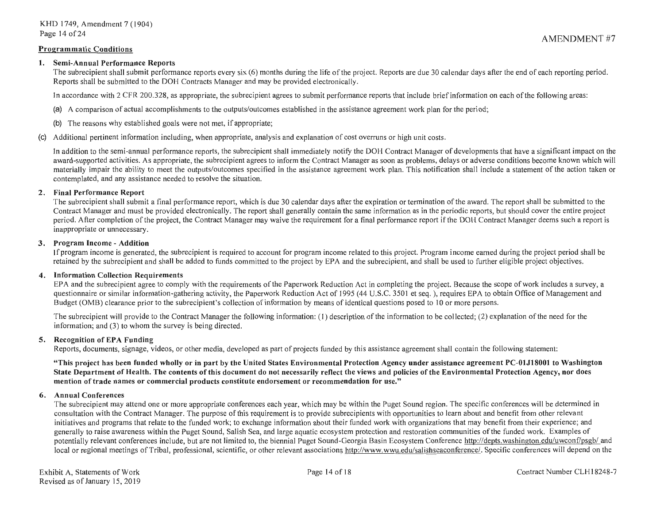#### **Programmatic Conditions**

#### **1. Semi-Annual Performance Reports**

The subrecipient shall submit performance reports every six (6) months during the life of the project. Reports are due 30 calendar days after the end of each reporting period. Reports shall be submitted to the DOH Contracts Manager and may be provided electronically.

In accordance with 2 CFR 200.328, as appropriate, the subrecipient agrees to submit performance reports that include brief information on each of the following areas:

- (a) A comparison of actual accomplishments to the outputs/outcomes established in the assistance agreement work plan for the period;
- (b) The reasons why established goals were not met, if appropriate;
- Additional pertinent information including, when appropriate, analysis and explanation of cost overruns or high unit costs.

In addition to the semi-annual performance reports, the subrecipient shall immediately notify the DOH Contract Manager of developments that have a significant impact on the award-supported activities. As appropriate, the subrecipient agrees to inform the Contract Manager as soon as problems, delays or adverse conditions become known which will materially impair the ability to meet the outputs/outcomes specified in the assistance agreement work plan. This notification shall include a statement of the action taken or contemplated, and any assistance needed to resolve the situation.

#### **2. Final Performance Report**

The subrecipient shall submit a final performance report, which is due 30 calendar days after the expiration or termination of the award. The report shall be submitted to the Contract Manager and must be provided electronically. The report shall generally contain the same information as in the periodic reports, but should cover the entire project period. After completion of the project, the Contract Manager may waive the requirement for a final performance report if the DOH Contract Manager deems such a report is inappropriate or unnecessary.

#### **3. Program Income** - **Addition**

If program income is generated, the subrecipient is required to account for program income related to this project. Program income earned during the project period shall be retained by the subrecipient and shall be added to funds committed to the project by EPA and the subrecipient, and shall be used to further eligible project objectives.

#### **4. Information Collection Requirements**

EPA and the subrecipient agree to comply with the requirements of the Paperwork Reduction Act in completing the project. Because the scope of work includes a survey, a questionnaire or similar information-gathering activity, the Paperwork Reduction Act of 1995 (44 U.S.C. 3501 et seq.), requires EPA to obtain Office of Management and Budget (0MB) clearance prior to the subrecipient's collection of information by means of identical questions posed to IO or more persons.

The subrecipient will provide to the Contract Manager the following information: (I) description of the information to be collected; (2) explanation of the need for the information; and (3) to whom the survey is being directed.

#### **5. Recognition of EPA Funding**

Reports, documents, signage, videos, or other media, developed as part of projects funded by this assistance agreement shall contain the following statement:

**"This project has been funded wholly or in part by the United States Environmental Protection Agency under assistance agreement PC-01J18001 to Washington State Department of Health. The contents of this document do not necessarily reflect the views and policies of the Environmental Protection Agency, nor does mention of trade names or commercial products constitute endorsement or recommendation for use."** 

#### **6. Annual Conferences**

The subrecipient may attend one or more appropriate conferences each year, which may be within the Puget Sound region. The specific conferences will be determined in consultation with the Contract Manager. The purpose of this requirement is to provide subrecipients with opportunities to learn about and benefit from other relevant initiatives and programs that relate to the funded work; to exchange information about their funded work with organizations that may benefit from their experience; and generally to raise awareness within the Puget Sound, Salish Sea, and large aquatic ecosystem protection and restoration communities of the funded work. Examples of potentially relevant conferences include, but are not limited to, the biennial Puget Sound-Georgia Basin Ecosystem Conference http://depts.washington.edu/uwconf/psgb/ and local or regional meetings of Tribal, professional, scientific, or other relevant associations http://www.wwu.edu/salishseaconference/. Specific conferences will depend on the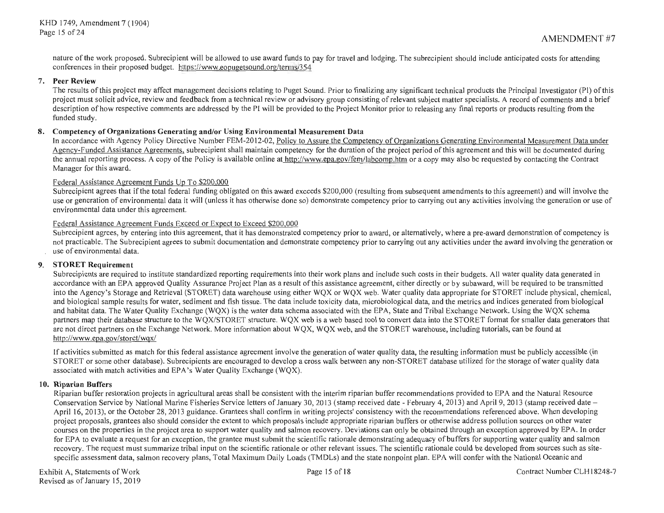nature of the work proposed. Subrecipient will be allowed to use award funds to pay for travel and lodging. The subrecipient should include anticipated costs for attending conferences in their proposed budget. https://www.eopugetsound.org/terms/354

# 7. **Peer Review**

The results of this project may affect management decisions relating to Puget Sound. Prior to finalizing any significant technical products the Principal Investigator (Pl) of this project must solicit advice, review and feedback from a technical review or advisory group consisting of relevant subject matter specialists. A record of comments and a brief description of how respective comments are addressed by the Pl will be provided to the Project Monitor prior to releasing any final reports or products resulting from the funded study.

# **8. Competency of Organizations Generating and/or Using Environmental Measurement Data**

In accordance with Agency Policy Directive Number FEM-2012-02, Policy to Assure the Competency of Organizations Generating Environmental Measurement Data under Agency-Funded Assistance Agreements, subrecipient shall maintain competency for the duration of the project period of this agreement and this will be documented during the annual reporting process. A copy of the Policy is available online at http://www.epa.gov/fem/labcomp.htm or a copy may also be requested by contacting the Contract Manager for this award.

# Federal Assistance Agreement Funds Up To \$200,000

Subrecipient agrees that if the total federal funding obligated on this award exceeds \$200,000 (resulting from subsequent amendments to this agreement) and will involve the use or generation of environmental data it will (unless it has otherwise done so) demonstrate competency prior to carrying out any activities involving the generation or use of environmental data under this agreement.

# Federal Assistance Agreement Funds Exceed or Expect to Exceed \$200,000

Subrecipient agrees, by entering into this agreement, that it has demonstrated competency prior to award, or alternatively, where a pre-award demonstration of competency is not practicable. The Subrecipient agrees to submit documentation and demonstrate competency prior to carrying out any activities under the award involving the generation or use of environmental data.

#### **9. STORET Requirement**

Subrecipients are required to institute standardized reporting requirements into their work plans and include such costs in their budgets. All water quality data generated in accordance with an EPA approved Quality Assurance Project Plan as a result of this assistance agreement, either directly or by subaward, will be required to be transmitted into the Agency's Storage and Retrieval (STORET) data warehouse using either WQX or WQX web. Water quality data appropriate for STORET include physical, chemical, and biological sample results for water, sediment and fish tissue. The data include toxicity data, microbiological data, and the metrics and indices generated from biological and habitat data. The Water Quality Exchange (WQX) is the water data schema associated with the EPA, State and Tribal Exchange Network. Using the WQX schema partners map their database structure to the WQX/STORET structure. WQX web is a web based tool to convert data into the STORET format for smaller data generators that are not direct partners on the Exchange Network. More information about WQX, WQX web, and the STORET warehouse, including tutorials, can be found at http://www.epa.gov/storet/wgx/

If activities submitted as match for this federal assistance agreement involve the generation of water quality data, the resulting information must be publicly accessible (in STORET or some other database). Subrecipients are encouraged to develop a cross walk between any non-STORET database utilized for the storage of water quality data associated with match activities and EPA's Water Quality Exchange (WQX).

# **10. Riparian Buffers**

Riparian buffer restoration projects in agricultural areas shall be consistent with the interim riparian buffer recommendations provided to EPA and the Natural Resource Conservation Service by National Marine Fisheries Service letters of January 30, 2013 (stamp received date - February 4, 2013) and April 9, 2013 (stamp received date - April 16, 2013), or the October 28, 2013 guidance. Grantees shall confirm in writing projects' consistency with the recommendations referenced above. When developing project proposals, grantees also should consider the extent to which proposals include appropriate riparian buffers or otherwise address pollution sources on other water courses on the properties in the project area to support water quality and salmon recovery. Deviations can only be obtained through an exception approved by EPA. In order for EPA to evaluate a request for an exception, the grantee must submit the scientific rationale demonstrating adequacy of buffers for supporting water quality and salmon recovery. The request must summarize tribal input on the scientific rationale or other relevant issues. The scientific rationale could be developed from sources such as sitespecific assessment data, salmon recovery plans, Total Maximum Daily Loads (TMDLs) and the state nonpoint plan. EPA will confer with the National Oceanic and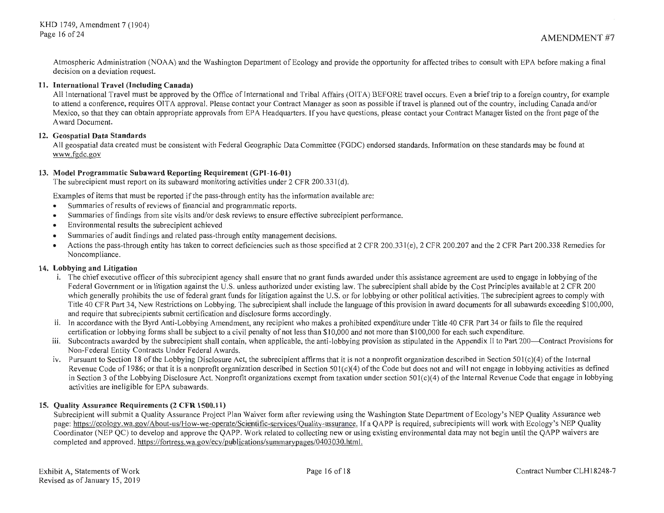Atmospheric Administration (NOAA) and the Washington Department of Ecology and provide the opportunity for affected tribes to consult with EPA before making a final decision on a deviation request.

# **11. International Travel (Including Canada)**

All International Travel must be approved by the Office of International and Tribal Affairs (OITA) BEFORE travel occurs. Even a brieftrip to a foreign country, for example to attend a conference, requires OITA approval. Please contact your Contract Manager as soon as possible if travel is planned out of the country, including Canada and/or Mexico, so that they can obtain appropriate approvals from EPA Headquarters. If you have questions, please contact your Contract Manager listed on the front page of the A ward Document.

# **12. Geospatial Data Standards**

All geospatial data created must be consistent with Federal Geographic Data Committee (FGDC) endorsed standards. Information on these standards may be found at www.fgdc.gov

# **13. Model Programmatic Subaward Reporting Requirement (GPI-16-01)**

The subrecipient must report on its subaward monitoring activities under 2 CFR 200.331(d).

Examples of items that must be reported if the pass-through entity has the information available are:

- Summaries of results of reviews of financial and programmatic reports.
- Summaries of findings from site visits and/or desk reviews to ensure effective subrecipient performance.
- Environmental results the subrecipient achieved
- Summaries of audit findings and related pass-through entity management decisions.
- Actions the pass-through entity has taken to correct deficiencies such as those specified at 2 CFR 200.331(e), 2 CFR 200.207 and the 2 CFR Part 200.338 Remedies for Noncompliance.

#### **14. Lobbying and Litigation**

- i. The chief executive officer of this subrecipient agency shall ensure that no grant funds awarded under this assistance agreement are used to engage in lobbying of the Federal Government or in litigation against the U.S. unless authorized under existing law. The subrecipient shall abide by the Cost Principles available at 2 CFR 200 which generally prohibits the use of federal grant funds for litigation against the U.S. or for lobbying or other political activities. The subrecipient agrees to comply with Title 40 CFR Part 34, New Restrictions on Lobbying. The subrecipient shall include the language of this provision in award documents for all subawards exceeding \$100,000, and require that subrecipients submit certification and disclosure forms accordingly.
- ii. In accordance with the Byrd Anti-Lobbying Amendment, any recipient who makes a prohibited expenditure under Title 40 CFR Part 34 or fails to file the required certification or lobbying forms shall be subject to a civil penalty of not less than \$ I 0,000 and not more than \$ I 00,000 for each such expenditure.
- iii. Subcontracts awarded by the subrecipient shall contain, when applicable, the anti-lobbying provision as stipulated in the Appendix II to Part 200—Contract Provisions for Non-Federal Entity Contracts Under Federal Awards.
- iv. Pursuant to Section 18 of the Lobbying Disclosure Act, the subrecipient affirms that it is not a nonprofit organization described in Section 501 $(c)(4)$  of the Internal Revenue Code of 1986; or that it is a nonprofit organization described in Section  $501(c)(4)$  of the Code but does not and will not engage in lobbying activities as defined in Section 3 of the Lobbying Disclosure Act. Nonprofit organizations exempt from taxation under section 50l(c)(4) of the Internal Revenue Code that engage in lobbying activities are ineligible for EPA subawards.

# **15. Quality Assurance Requirements (2 CFR 1500.11)**

Subrecipient will submit a Quality Assurance Project Plan Waiver form after reviewing using the Washington State Department of Ecology's NEP Quality Assurance web page: https://ecology.wa.gov/About-us/How-we-operate/Scientific-services/Quality-assurance. If a QAPP is required, subrecipients will work with Ecology's NEP Quality Coordinator (NEP QC) to develop and approve the QAPP. Work related to collecting new or using existing environmental data may not begin until the QAPP waivers are completed and approved. https://fortress.wa.gov/ecy/publications/summarypages/0403030.html.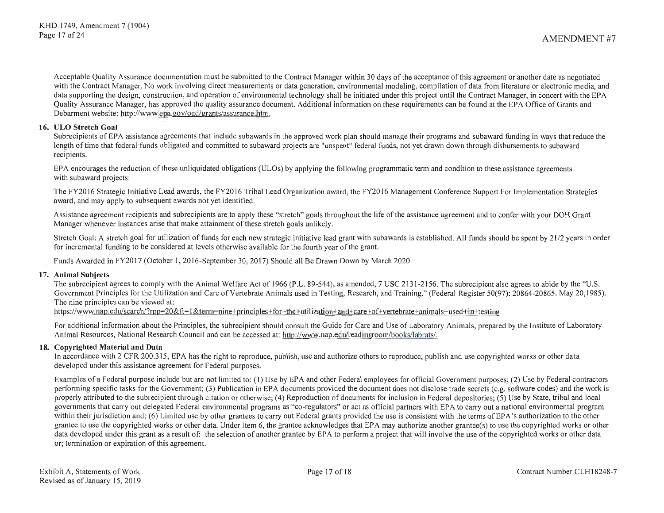Acceptable Quality Assurance documentation must be submitted to the Contract Manager within 30 days of the acceptance of this agreement or another date as negotiated with the Contract Manager. No work involving direct measurements or data generation, environmental modeling, compilation of data from literature or electronic media, and data supporting the design, construction, and operation of environmental technology shall be initiated under this project until the Contract Manager, in concert with the EPA Quality Assurance Manager, has approved the quality assurance document. Additional information on these requirements can be found at the EPA Office of Grants and Debarment website: http://www.epa.gov/ogd/grants/assurance.htm.

## **16. ULO Stretch Goal**

Subrecipients of EPA assistance agreements that include subawards in the approved work plan should manage their programs and subaward funding in ways that reduce the length of time that federal funds obligated and committed to subaward projects are "unspent" federal funds, not yet drawn down through disbursements to subaward recipients.

EPA encourages the reduction of these unliquidated obligations (ULOs) by applying the following programmatic term and condition to these assistance agreements with subaward projects:

The FY2016 Strategic Initiative Lead awards, the FY2016 Tribal Lead Organization award, the FY2016 Management Conference Support For Implementation Strategies award, and may apply to subsequent awards not yet identified.

Assistance agreement recipients and subrecipients are to apply these "stretch" goals throughout the life of the assistance agreement and to confer with your DOH Grant Manager whenever instances arise that make attainment of these stretch goals unlikely.

Stretch Goal: A stretch goal for utilization of funds for each new strategic initiative lead grant with subawards is established. All funds should be spent by 21/2 years in order for incremental funding to be considered at levels otherwise available for the fourth year of the grant.

Funds Awarded in FY2017 (October **1,** 2016-September 30, 2017) Should all Be Drawn Down by March 2020

# **17. Animal Subjects**

The subrecipient agrees to comply with the Animal Welfare Act of 1966 (P.L. 89-544), as amended, 7 USC 2131-2156. The subrecipient also agrees to abide by the "U.S. Government Principles for the Utilization and Care of Vertebrate Animals used in Testing, Research, and Training." (Federal Register 50(97): 20864-20865. May 20, 1985). The nine principles can be viewed at:

https://www.nap.edu/search/?rpp=20&ft=1&term=nine+principles+for+the+utilization+and+care+of+vertebrate+animals+used+in+testing

For additional information about the Principles, the subrecipient should consult the Guide for Care and Use of Laboratory Animals, prepared by the Institute of Laboratory Animal Resources, National Research Council and can be accessed at: http://www.nap.edu/readingroom/books/labrats/.

# **18. Copyrighted Material and Data**

In accordance with 2 CFR 200.315, EPA has the right to reproduce, publish, use and authorize others to reproduce, publish and use copyrighted works or other data developed under this assistance agreement for Federal purposes.

Examples of a Federal purpose include but are not limited to: (1) Use by EPA and other Federal employees for official Government purposes; (2) Use by Federal contractors performing specific tasks for the Government; (3) Publication in EPA documents provided the document does not disclose trade secrets (e.g. software codes) and the work is properly attributed to the subrecipient through citation or otherwise; ( 4) Reproduction of documents for inclusion in Federal depositories; (5) Use by State, tribal and local governments that carry out delegated Federal environmental programs as "co-regulators" or act as official partners with EPA to carry out a national environmental program within their jurisdiction and; (6) Limited use by other grantees to carry out Federal grants provided the use is consistent with the terms of EPA 's authorization to the other grantee to use the copyrighted works or other data. Under Item 6, the grantee acknowledges that EPA may authorize another grantee(s) to use the copyrighted works or other data developed under this grant as a result of: the selection of another grantee by EPA to perform a project that will involve the use of the copyrighted works or other data or; termination or expiration of this agreement.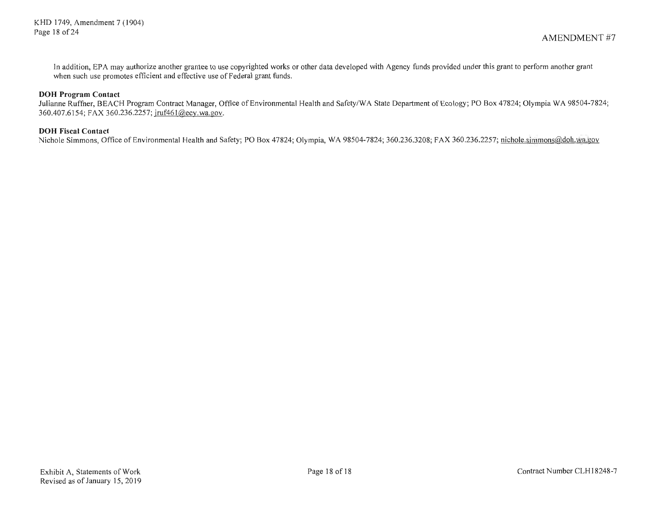In addition, EPA may authorize another grantee to use copyrighted works or other data developed with Agency funds provided under this grant to perform another grant when such use promotes efficient and effective use of Federal grant funds.

# **DOH Program Contact**

Julianne Ruffner, BEACH Program Contract Manager, Office of Environmental Health and Safety/WA State Department of Ecology; PO Box 47824; Olympia WA 98504-7824; 360.407.6154; FAX 360.236.2257; jruf46 l@ecy.wa.gov.

#### **DOH Fiscal Contact**

Nichole Simmons, Office of Environmental Health and Safety; PO Box 47824; Olympia, WA 98504-7824; 360.236.3208; FAX 360.236.2257; nichole.simmons@doh.wa.gov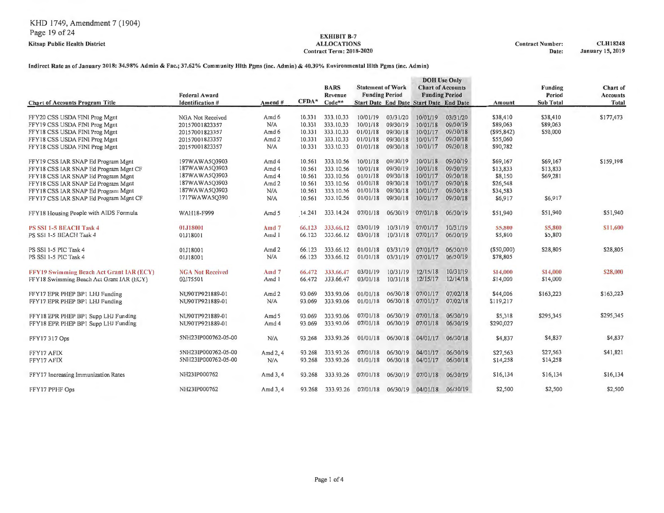# Contract Term: 2018-2020

ALLOCATIONS Contract Number: CLH18248<br>Contract Term: 2018-2020 2019 Date: January 15, 2019

# Indirect Rate as of January 2018: 34.98% Admin & Fac.; 37.62% Community Hlth Pgms (inc. Admin) & 40.39% Environmental Hlth Pgms (inc. Admin)

|                                                                                                                                                                                               | <b>Federal Award</b>                                                                               |                                         |                                                          | <b>BARS</b><br>Revenue                                                          | <b>Statement of Work</b><br><b>Funding Period</b>                    |                                                                      | <b>DOH</b> Use Only<br><b>Funding Period</b>                         | <b>Chart of Accounts</b>                                             |                                                                    | Funding<br>Period                           | Chart of<br><b>Accounts</b> |
|-----------------------------------------------------------------------------------------------------------------------------------------------------------------------------------------------|----------------------------------------------------------------------------------------------------|-----------------------------------------|----------------------------------------------------------|---------------------------------------------------------------------------------|----------------------------------------------------------------------|----------------------------------------------------------------------|----------------------------------------------------------------------|----------------------------------------------------------------------|--------------------------------------------------------------------|---------------------------------------------|-----------------------------|
| <b>Chart of Accounts Program Title</b>                                                                                                                                                        | <b>Identification #</b>                                                                            | Amend #                                 | $CFDA*$                                                  | $Code**$                                                                        |                                                                      |                                                                      | Start Date End Date Start Date End Date                              |                                                                      | Amount                                                             | <b>Sub Total</b>                            | Total                       |
| FFY20 CSS USDA FIN1 Prog Mgnt<br>FFY19 CSS USDA FIN1 Prog Mgnt<br>FFY18 CSS USDA FIN1 Prog Mgnt                                                                                               | NGA Not Received<br>20157001823357<br>20157001823357                                               | Amd 6<br>N/A<br>Amd 6                   | 10.331<br>10,331<br>10.331                               | 333, 10, 33<br>333, 10, 33<br>333.10.33                                         | 10/01/19<br>10/01/18<br>01/01/18                                     | 03/31/20<br>09/30/19<br>09/30/18                                     | 10/01/19<br>10/01/18<br>10/01/17                                     | 03/31/20<br>09/30/19<br>09/30/18                                     | \$38,410<br>\$89,063<br>$($ \$95,842)                              | \$38,410<br>\$89,063<br>\$50,000            | \$177,473                   |
| FFY18 CSS USDA FINI Prog Mgnt<br>FFY18 CSS USDA FINI Prog Mgnt                                                                                                                                | 20157001823357<br>20157001823357                                                                   | Amd <sub>2</sub><br>N/A                 | 10.331<br>10.331                                         | 333, 10, 33<br>333.10.33                                                        | 01/01/18<br>01/01/18                                                 | 09/30/18<br>09/30/18                                                 | 10/01/17<br>10/01/17                                                 | 09/30/18<br>09/30/18                                                 | \$55,060<br>\$90,782                                               |                                             |                             |
| FFY19 CSS IAR SNAP Ed Program Mgnt<br>FFY18 CSS IAR SNAP Ed Program Mgnt CF<br>FFY18 CSS IAR SNAP Ed Program Mgnt<br>FFY18 CSS IAR SNAP Ed Program Mgnt<br>FFY18 CSS IAR SNAP Ed Program Mgnt | 197WAWA5Q3903<br>187WAWA5Q3903<br>187WAWA5Q3903<br>187WAWA5Q3903<br>187WAWA5Q3903<br>1717WAWA5Q390 | Amd 4<br>Amd 4<br>Amd 4<br>Amd 2<br>N/A | 10,561<br>10.561<br>10.561<br>10.561<br>10.561<br>10.561 | 333, 10.56<br>333.10.56<br>333, 10, 56<br>333, 10.56<br>333, 10.56<br>333.10.56 | 10/01/18<br>10/01/18<br>01/01/18<br>01/01/18<br>01/01/18<br>01/01/18 | 09/30/19<br>09/30/19<br>09/30/18<br>09/30/18<br>09/30/18<br>09/30/18 | 10/01/18<br>10/01/18<br>10/01/17<br>10/01/17<br>10/01/17<br>10/01/17 | 09/30/19<br>09/30/19<br>09/30/18<br>09/30/18<br>09/30/18<br>09/30/18 | \$69,167<br>\$13,833<br>\$8,150<br>\$26,548<br>\$34,583<br>\$6,917 | \$69,167<br>\$13,833<br>\$69,281<br>\$6,917 | \$159,198                   |
| FFY17 CSS IAR SNAP Ed Program Mgnt CF<br>FFY18 Housing People with AIDS Formula                                                                                                               | WAH18-F999                                                                                         | N/A<br>Amd 5                            | 14.241                                                   | 333.14.24                                                                       | 07/01/18                                                             | 06/30/19                                                             | 07/01/18                                                             | 06/30/19                                                             | \$51,940                                                           | \$51,940                                    | \$51,940                    |
| <b>PS SSI 1-5 BEACH Task 4</b><br>PS SSI 1-5 BEACH Task 4                                                                                                                                     | 01J18001<br>01J18001                                                                               | Amd <sub>7</sub><br>Amd 1               | 66,123<br>66,123                                         | 333,66.12<br>333,66,12                                                          | 03/01/19<br>03/01/18                                                 | 10/31/19<br>10/31/18                                                 | 07/01/17<br>07/01/17                                                 | 10/31/19<br>06/30/19                                                 | \$5,800<br>\$5,800                                                 | \$5,800<br>\$5,800                          | \$11,600                    |
| PS SSI 1-5 PIC Task 4<br>PS SSI 1-5 PIC Task 4                                                                                                                                                | 01J18001<br>01J18001                                                                               | Amd 2<br>N/A                            | 66.123<br>66.123                                         | 333.66.12<br>333.66.12                                                          | 01/01/18<br>01/01/18                                                 | 03/31/19<br>03/31/19                                                 | 07/01/17<br>07/01/17                                                 | 06/30/19<br>06/30/19                                                 | (\$50,000)<br>\$78,805                                             | \$28,805                                    | \$28,805                    |
| <b>FFY19 Swimming Beach Act Grant IAR (ECY)</b><br>FFY18 Swimming Beach Act Grant IAR (ECY)                                                                                                   | <b>NGA Not Received</b><br>00J75501                                                                | $Amd$ 7<br>Amd 1                        | 66.472<br>66.472                                         | 333,66.47<br>333.66.47                                                          | 03/01/19<br>03/01/18                                                 | 10/31/19<br>10/31/18                                                 | 12/15/18<br>12/15/17                                                 | 10/31/19<br>12/14/18                                                 | \$14,000<br>\$14,000                                               | \$14,000<br>\$14,000                        | \$28,000                    |
| FFY17 EPR PHEP BP1 LHJ Funding<br>FFY17 EPR PHEP BP1 LHJ Funding                                                                                                                              | NU90TP921889-01<br>NU90TP921889-01                                                                 | Amd2<br>N/A                             | 93,069<br>93.069                                         | 333.93.06<br>333.93.06                                                          | 01/01/18<br>01/01/18                                                 | 06/30/18<br>06/30/18                                                 | 07/01/17<br>07/01/17                                                 | 07/02/18<br>07/02/18                                                 | \$44,006<br>\$119,217                                              | \$163,223                                   | \$163,223                   |
| FFY18 EPR PHEP BP1 Supp LHJ Funding<br>FFY18 EPR PHEP BP1 Supp LHJ Funding                                                                                                                    | NU90TP921889-01<br>NU90TP921889-01                                                                 | Amd 5<br>Amd 4                          | 93.069<br>93.069                                         | 333.93.06<br>333.93.06                                                          | 07/01/18<br>07/01/18                                                 | 06/30/19<br>06/30/19                                                 | 07/01/18<br>07/01/18                                                 | 06/30/19<br>06/30/19                                                 | \$5,318<br>\$290,027                                               | \$295,345                                   | \$295,345                   |
| FFY17317 Ops                                                                                                                                                                                  | 5NH23IP000762-05-00                                                                                | N/A                                     | 93.268                                                   | 333.93.26                                                                       | 01/01/18                                                             | 06/30/18                                                             | 04/01/17                                                             | 06/30/18                                                             | \$4,837                                                            | \$4,837                                     | \$4,837                     |
| FFY17 AFIX<br>FFY17 AFIX                                                                                                                                                                      | 5NH23IP000762-05-00<br>5NH231P000762-05-00                                                         | Amd $2, 4$<br>N/A                       | 93.268<br>93.268                                         | 333.93.26<br>333.93.26                                                          | 07/01/18<br>01/01/18                                                 | 06/30/19<br>06/30/18                                                 | 04/01/17<br>04/01/17                                                 | 06/30/19<br>06/30/18                                                 | \$27,563<br>\$14,258                                               | \$27,563<br>\$14,258                        | \$41,821                    |
| FFY17 Increasing Immunization Rates                                                                                                                                                           | NH23IP000762                                                                                       | Amd 3, 4                                | 93.268                                                   | 333.93.26                                                                       | 07/01/18                                                             | 06/30/19                                                             | 07/01/18                                                             | 06/30/19                                                             | \$16,134                                                           | \$16,134                                    | \$16,134                    |
| FFY17 PPHF Ops                                                                                                                                                                                | NH23IP000762                                                                                       | Amd 3, 4                                | 93.268                                                   | 333.93.26                                                                       | 07/01/18                                                             | 06/30/19                                                             | 04/01/18                                                             | 06/30/19                                                             | \$2,500                                                            | \$2,500                                     | \$2,500                     |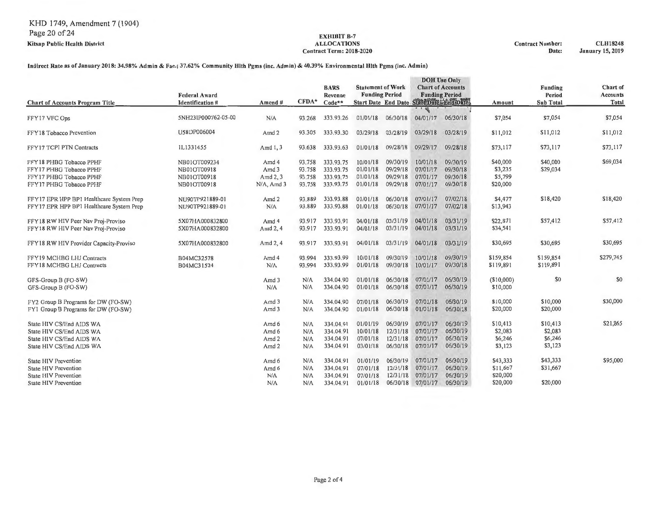Contract Term: 2018-2020 Date: January 15, 2019

#### Indirect Rate as of January 2018: 34.98'% Admin & Fae.; 37.62% Community Hlth Pgms (inc. Admin) & 40.39% Environmental Hlth Pgms (inc. Admin)

| <b>Chart of Accounts Program Title</b>                                                                       | <b>Federal Award</b><br><b>Identification #</b>           | Amend#                                      | CFDA*                                | <b>BARS</b><br>Revenue<br>Code**                 |                                              | <b>Statement of Work</b><br><b>Funding Period</b><br>Start Date End Date StateDate End Date: |                                              | <b>DOH</b> Use Only<br><b>Chart of Accounts</b><br><b>Funding Period</b> | Amount                                     | <b>Funding</b><br>Period<br><b>Sub Total</b> | Chart of<br><b>Accounts</b><br>Total |
|--------------------------------------------------------------------------------------------------------------|-----------------------------------------------------------|---------------------------------------------|--------------------------------------|--------------------------------------------------|----------------------------------------------|----------------------------------------------------------------------------------------------|----------------------------------------------|--------------------------------------------------------------------------|--------------------------------------------|----------------------------------------------|--------------------------------------|
|                                                                                                              |                                                           |                                             |                                      |                                                  |                                              |                                                                                              | €                                            |                                                                          |                                            |                                              |                                      |
| FFY17 VFC Ops                                                                                                | 5NH231P000762-05-00                                       | N/A                                         | 93.268                               | 333,93.26                                        | 01/01/18                                     | 06/30/18                                                                                     | 04/01/17                                     | 06/30/18                                                                 | \$7,054                                    | \$7,054                                      | \$7,054                              |
| FFY18 Tobacco Prevention                                                                                     | U58DP006004                                               | Amd 2                                       | 93.305                               | 333,93,30                                        | 03/29/18                                     | 03/28/19                                                                                     | 03/29/18                                     | 03/28/19                                                                 | \$11,012                                   | \$11,012                                     | \$11,012                             |
| FFY17 TCPI PTN Contracts                                                                                     | IL1331455                                                 | Amd 1, 3                                    | 93.638                               | 333.93.63                                        | 01/01/18                                     | 09/28/18                                                                                     | 09/29/17                                     | 09/28/18                                                                 | \$73,117                                   | \$73,117                                     | \$73,117                             |
| FFY18 PHBG Tobacco PPHF<br>FFY17 PHBG Tobacco PPHF<br>FFY17 PHBG Tobacco PPHF<br>FFY17 PHBG Tobacco PPHF     | NB01OT009234<br>NB01OT00918<br>NB01OT00918<br>NB01OT00918 | Amd 4<br>Amd 3<br>Amd 2, 3<br>N/A, Amd 3    | 93.758<br>93.758<br>93.758<br>93.758 | 333.93.75<br>333.93.75<br>333.93.75<br>333.93.75 | 10/01/18<br>01/01/18<br>01/01/18<br>01/01/18 | 09/30/19<br>09/29/18<br>09/29/18<br>09/29/18                                                 | 10/01/18<br>07/01/17<br>07/01/17<br>07/01/17 | 09/30/19<br>09/30/18<br>09/30/18<br>09/30/18                             | \$40,000<br>\$3,235<br>\$5,799<br>\$20,000 | \$40,000<br>\$29,034                         | \$69,034                             |
| FFY17 EPR HPP BP1 Healthcare System Prep<br>FFY17 EPR HPP BP1 Healthcare System Prep                         | NU90TP921889-01<br>NU90TP921889-01                        | Amd 2<br>N/A                                | 93.889<br>93.889                     | 333.93.88<br>333.93.88                           | 01/01/18<br>01/01/18                         | 06/30/18<br>06/30/18                                                                         | 07/01/17<br>07/01/17                         | 07/02/18<br>07/02/18                                                     | \$4,477<br>\$13,943                        | \$18,420                                     | \$18,420                             |
| FFY18 RW HIV Peer Nav Proj-Proviso<br>FFY18 RW HIV Peer Nav Proj-Proviso                                     | 5X07HA000832800<br>5X07HA000832800                        | Amd 4<br>Amd 2, 4                           | 93.917<br>93.917                     | 333.93.91<br>333.93.91                           | 04/01/18<br>04/01/18                         | 03/31/19<br>03/31/19                                                                         | 04/01/18<br>04/01/18                         | 03/31/19<br>03/31/19                                                     | \$22,871<br>\$34,541                       | \$57,412                                     | \$57,412                             |
| FFY18 RW HIV Provider Capacity-Proviso                                                                       | 5X07HA000832800                                           | Amd 2, 4                                    | 93.917                               | 333.93.91                                        | 04/01/18                                     | 03/31/19                                                                                     | 04/01/18                                     | 03/31/19                                                                 | \$30,695                                   | \$30,695                                     | \$30,695                             |
| FFY19 MCHBG LHJ Contracts<br>FFY18 MCHBG LHJ Contracts                                                       | B04MC32578<br>B04MC31524                                  | Amd 4<br>N/A                                | 93.994<br>93.994                     | 333.93.99<br>333.93.99                           | 10/01/18<br>01/01/18                         | 09/30/19<br>09/30/18                                                                         | 10/01/18<br>10/01/17                         | 09/30/19<br>09/30/18                                                     | \$159,854<br>\$119,891                     | \$159,854<br>\$119,891                       | \$279,745                            |
| GFS-Group B (FO-SW)<br>GFS-Group B (FO-SW)                                                                   |                                                           | Amd 3<br>N/A                                | N/A<br>N/A                           | 334.04.90<br>334.04.90                           | 01/01/18<br>01/01/18                         | 06/30/18<br>06/30/18                                                                         | 07/01/17<br>07/01/17                         | 06/30/19<br>06/30/19                                                     | (\$10,000)<br>\$10,000                     | \$0                                          | \$0                                  |
| FY2 Group B Programs for DW (FO-SW)<br>FY1 Group B Programs for DW (FO-SW)                                   |                                                           | Amd 3<br>Amd 3                              | N/A<br>N/A                           | 334.04.90<br>334.04.90                           | 07/01/18<br>01/01/18                         | 06/30/19<br>06/30/18                                                                         | 07/01/18<br>01/01/18                         | 06/30/19<br>06/30/18                                                     | \$10,000<br>\$20,000                       | \$10,000<br>\$20,000                         | \$30,000                             |
| State HIV CS/End AIDS WA<br>State HIV CS/End AIDS WA<br>State HIV CS/End AIDS WA<br>State HIV CS/End AIDS WA |                                                           | Amd 6<br>Amd 6<br>Amd <sub>2</sub><br>Amd 2 | N/A<br>N/A<br>N/A<br>N/A             | 334.04.91<br>334.04.91<br>334.04.91<br>334.04.91 | 01/01/19<br>10/01/18<br>07/01/18<br>03/01/18 | 06/30/19<br>12/31/18<br>12/31/18<br>06/30/18                                                 | 07/01/17<br>07/01/17<br>07/01/17<br>07/01/17 | 06/30/19<br>06/30/19<br>06/30/19<br>06/30/19                             | \$10,413<br>\$2,083<br>\$6,246<br>\$3,123  | \$10,413<br>\$2,083<br>\$6,246<br>\$3,123    | \$21,865                             |
| <b>State HIV Prevention</b><br><b>State HIV Prevention</b><br>State H1V Prevention                           |                                                           | Amd 6<br>Amd 6<br>N/A                       | N/A<br>N/A<br>N/A                    | 334.04.91<br>334,04.91<br>334,04.91              | 01/01/19<br>07/01/18<br>07/01/18             | 06/30/19<br>I2/31/18<br>12/31/18                                                             | 07/01/17<br>07/01/17<br>07/01/17             | 06/30/19<br>06/30/19<br>06/30/19                                         | \$43,333<br>\$11,667<br>\$20,000           | \$43,333<br>\$31,667                         | \$95,000                             |
| State HIV Prevention                                                                                         |                                                           | N/A                                         | N/A                                  | 334.04.91                                        | 01/01/18                                     | 06/30/18                                                                                     | 07/01/17                                     | 06/30/19                                                                 | \$20,000                                   | \$20,000                                     |                                      |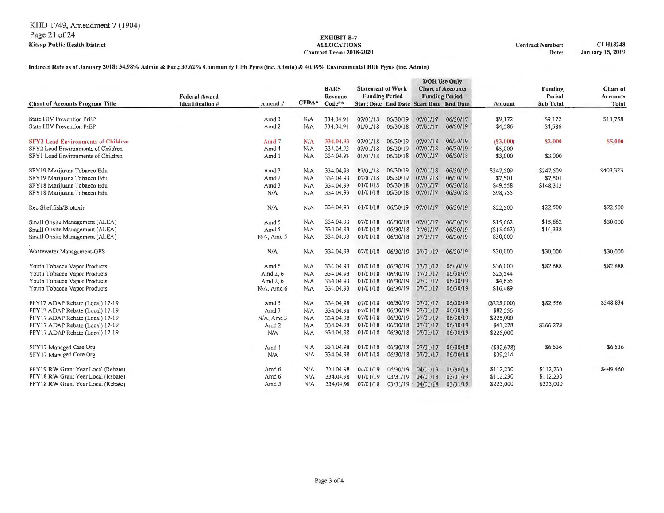# $Contract Term: 2018-2020$

#### Indirect Rate as of January 2018: 34.98% Admin & Fac.; 37.62% Community Hlth Pgms (inc. Admin) & 40.39% Environmental Hlth Pgms (inc. Admin)

|                                                                                                                              | <b>Federal Award</b>    |                                                      |                          | <b>BARS</b><br>Revenue                           | <b>Statement of Work</b><br><b>Funding Period</b> |                                              |                                                | <b>DOH</b> Use Only<br><b>Chart of Accounts</b><br><b>Funding Period</b> |                                              | <b>Funding</b><br>Period            | Chart of<br>Aceounts |
|------------------------------------------------------------------------------------------------------------------------------|-------------------------|------------------------------------------------------|--------------------------|--------------------------------------------------|---------------------------------------------------|----------------------------------------------|------------------------------------------------|--------------------------------------------------------------------------|----------------------------------------------|-------------------------------------|----------------------|
| <b>Chart of Accounts Program Title</b>                                                                                       | <b>Identification #</b> | $A$ mcnd#                                            | $CFDA*$                  | $Code**$                                         |                                                   |                                              | <b>Start Date End Date Start Date End Date</b> |                                                                          | Amount                                       | <b>Sub Total</b>                    | Total                |
| State HIV Prevention PrEP<br>State HIV Prevention PrEP                                                                       |                         | Amd 3<br>Amd <sub>2</sub>                            | N/A<br>N/A               | 334.04.91<br>334.04.91                           | 07/01/18<br>01/01/18                              | 06/30/19<br>06/30/18                         | 07/01/17<br>07/01/17                           | 06/30/17<br>06/30/19                                                     | \$9,172<br>\$4,586                           | \$9,172<br>\$4,586                  | \$13,758             |
| <b>SFY2 Lead Environments of Children</b><br>SFY2 Lead Environments of Children                                              |                         | Amd $7$<br>Amd 4                                     | N/A<br>N/A               | 334.04.93<br>334.04.93                           | 07/01/18<br>07/01/18                              | 06/30/19<br>06/30/19                         | 07/01/18<br>07/01/18                           | 06/30/19<br>06/30/19                                                     | (S3,000)<br>\$5,000                          | \$2,000                             | \$5,000              |
| SFY1 Lead Environments of Children                                                                                           |                         | Amd 1                                                | N/A                      | 334.04.93                                        | 01/01/18                                          | 06/30/18                                     | 07/01/17                                       | 06/30/18                                                                 | \$3,000                                      | \$3,000                             |                      |
| SFY19 Marijuana Tobacco Edu<br>SFY19 Marijuana Tobacco Edu<br>SFY18 Marijuana Tobacco Edu<br>SFY18 Marijuana Tobacco Edu     |                         | Amd <sub>3</sub><br>Amd <sub>2</sub><br>Amd 3<br>N/A | N/A<br>N/A<br>N/A<br>N/A | 334.04.93<br>334.04.93<br>334.04.93<br>334.04.93 | 07/01/18<br>07/01/18<br>01/01/18<br>01/01/18      | 06/30/19<br>06/30/19<br>06/30/18<br>06/30/18 | 07/01/18<br>07/01/18<br>07/01/17<br>07/01/17   | 06/30/19<br>06/30/19<br>06/30/18<br>06/30/18                             | \$247,509<br>\$7,501<br>\$49,558<br>\$98,755 | \$247,509<br>\$7,501<br>\$148,313   | \$403,323            |
| Rec Shellfish/Biotoxin                                                                                                       |                         | N/A                                                  | N/A                      | 334.04.93                                        | 01/01/18                                          | 06/30/19                                     | 07/01/17                                       | 06/30/19                                                                 | \$22,500                                     | \$22,500                            | \$22,500             |
| Small Onsite Management (ALEA)<br>Small Onsite Management (ALEA)<br>Small Onsite Management (ALEA)                           |                         | Amd 5<br>Amd 5<br>N/A, Amd 5                         | N/A<br>N/A<br>N/A        | 334.04.93<br>334.04.93<br>334.04.93              | 07/01/18<br>01/01/18<br>01/01/18                  | 06/30/18<br>06/30/18<br>06/30/18             | 07/01/17<br>07/01/17<br>07/01/17               | 06/30/19<br>06/30/19<br>06/30/19                                         | \$15,662<br>(\$15,662)<br>\$30,000           | \$15,662<br>\$14,338                | \$30,000             |
| Wastewater Management-GFS                                                                                                    |                         | N/A                                                  | N/A                      | 334.04.93                                        | 07/01/18                                          | 06/30/19                                     | 07/01/17                                       | 06/30/19                                                                 | \$30,000                                     | \$30,000                            | \$30,000             |
| Youth Tobacco Vapor Products<br>Youth Tobacco Vapor Products<br>Youth Tobacco Vapor Products<br>Youth Tobacco Vapor Products |                         | Amd 6<br>Amd 2, 6<br>Amd 2, 6<br>N/A, Amd 6          | N/A<br>N/A<br>N/A<br>N/A | 334.04.93<br>334.04.93<br>334.04.93<br>334.04.93 | 01/01/18<br>01/01/18<br>01/01/18<br>01/01/18      | 06/30/19<br>06/30/19<br>06/30/19<br>06/30/19 | 07/01/17<br>07/01/17<br>07/01/17<br>07/01/17   | 06/30/19<br>06/30/19<br>06/30/19<br>06/30/19                             | \$36,000<br>\$25,544<br>\$4,655<br>\$16,489  | \$82,688                            | \$82,688             |
| FFY17 ADAP Rebate (Local) 17-19<br>FFY17 ADAP Rebate (Local) 17-19<br>FFY17 ADAP Rebate (Local) 17-19                        |                         | Amd 5<br>Amd 3<br>N/A, Amd 3                         | N/A<br>N/A<br>N/A        | 334,04.98<br>334.04.98<br>334.04.98              | 07/01/18<br>07/01/18<br>07/01/18                  | 06/30/19<br>06/30/19<br>06/30/19             | 07/01/17<br>07/01/17<br>07/01/17               | 06/30/19<br>06/30/19<br>06/30/19                                         | (\$225,000)<br>\$82,556<br>\$225,000         | \$82,556                            | \$348,834            |
| FFY17 ADAP Rebate (Local) 17-19<br>FFY17 ADAP Rebate (Local) 17-19                                                           |                         | Amd <sub>2</sub><br>N/A                              | N/A<br>N/A               | 334.04.98<br>334.04.98                           | 01/01/18<br>01/01/18                              | 06/30/18<br>06/30/18                         | 07/01/17<br>07/01/17                           | 06/30/19<br>06/30/19                                                     | \$41,278<br>\$225,000                        | \$266,278                           |                      |
| SFY17 Managed Care Org<br>SFY17 Managed Care Org                                                                             |                         | Amd 1<br>N/A                                         | N/A<br>N/A               | 334,04.98<br>334.04.98                           | 01/01/18<br>01/01/18                              | 06/30/18<br>06/30/18                         | 07/01/17<br>07/01/17                           | 06/30/18<br>06/30/18                                                     | (\$32,678)<br>\$39,214                       | \$6,536                             | \$6,536              |
| FFY19 RW Grant Year Local (Rebate)<br>FFY18 RW Grant Year Local (Rebate)<br>FFY18 RW Grant Year Local (Rebate)               |                         | Amd 6<br>Amd 6<br>Amd 5                              | N/A<br>N/A<br>N/A        | 334.04.98<br>334.04.98<br>334.04.98              | 04/01/19<br>01/01/19<br>07/01/18                  | 06/30/19<br>03/31/19<br>03/31/19             | 04/01/19<br>04/01/18<br>04/01/18               | 06/30/19<br>03/31/19<br>03/31/19                                         | \$112,230<br>\$112,230<br>\$225,000          | \$112,230<br>\$112,230<br>\$225,000 | \$449,460            |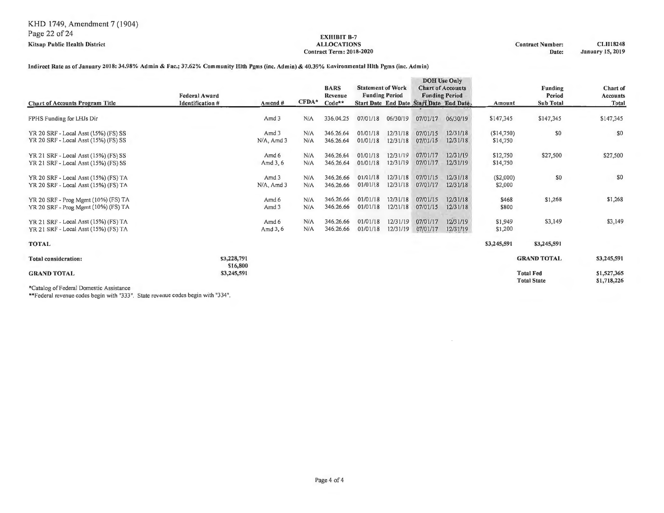#### **EXHIBIT** B-7 **ALLOCATIONS**  Contract Term: 2018-2020

Contract Number: Date: **CLH18248 January** IS, **2019** 

# Indirect Rate as of January 2018: 34.98% Admin & Fac.; 37.62% Community Hlth Pgms (inc. Admin) & 40.39% Environmental Hlth Pgms (inc. Admin)

|                                                                              | <b>Federal Award</b>    |                           |            | <b>BARS</b><br><b>Revenue</b> | <b>Statement of Work</b> | <b>Funding Period</b> |                                         | <b>DOH</b> Use Only<br><b>Chart of Accounts</b><br><b>Funding Period</b> |                        | <b>Funding</b><br>Period               | Chart of<br><b>Accounts</b> |
|------------------------------------------------------------------------------|-------------------------|---------------------------|------------|-------------------------------|--------------------------|-----------------------|-----------------------------------------|--------------------------------------------------------------------------|------------------------|----------------------------------------|-----------------------------|
| <b>Chart of Accounts Program Title</b>                                       | <b>Identification #</b> | Amend #                   | $CFDA*$    | $Code**$                      |                          |                       | Start Date End Date Start Date End Date |                                                                          | Amount                 | <b>Sub Total</b>                       | Total                       |
| FPHS Funding for LHJs Dir                                                    |                         | Amd 3                     | N/A        | 336.04.25                     | 07/01/18                 | 06/30/19              | 07/01/17                                | 06/30/19                                                                 | \$147,345              | \$147,345                              | \$147,345                   |
| YR 20 SRF - Local Asst (15%) (FS) SS<br>YR 20 SRF - Local Asst (15%) (FS) SS |                         | Amd 3<br>$N/A$ , Amd 3    | N/A<br>N/A | 346,26.64<br>346.26.64        | 01/01/18<br>01/01/18     | 12/31/18<br>12/31/18  | 07/01/15<br>07/01/15                    | 12/31/18<br>12/31/18                                                     | (\$14,750)<br>\$14,750 | \$0                                    | \$0                         |
| YR 21 SRF - Local Asst (15%) (FS) SS<br>YR 21 SRF - Local Asst (15%) (FS) SS |                         | Amd 6<br>Amd 3, 6         | N/A<br>N/A | 346,26,64<br>346.26.64        | 01/01/18<br>01/01/18     | 12/31/19<br>12/31/19  | 07/01/17<br>07/01/17                    | 12/31/19<br>12/31/19                                                     | \$12,750<br>\$14,750   | \$27,500                               | \$27,500                    |
| YR 20 SRF - Local Asst (15%) (FS) TA<br>YR 20 SRF - Local Asst (15%) (FS) TA |                         | Amd 3<br>$N/A$ , Amd 3    | N/A<br>N/A | 346,26.66<br>346.26.66        | 01/01/18<br>01/01/18     | 12/31/18<br>12/31/18  | 07/01/15<br>07/01/17                    | 12/31/18<br>12/31/18                                                     | $(\$2,000)$<br>\$2,000 | \$0                                    | \$0                         |
| YR 20 SRF - Prog Mgmt (10%) (FS) TA<br>YR 20 SRF - Prog Mgmt (10%) (FS) TA   |                         | Amd 6<br>Amd <sub>3</sub> | N/A<br>N/A | 346,26.66<br>346.26.66        | 01/01/18<br>01/01/18     | 12/31/18<br>12/31/18  | 07/01/15<br>07/01/15                    | 12/31/18<br>12/31/18                                                     | \$468<br>\$800         | \$1,268                                | \$1,268                     |
| YR 21 SRF - Local Asst (15%) (FS) TA<br>YR 21 SRF - Local Asst (15%) (FS) TA |                         | Amd 6<br>Amd 3, 6         | N/A<br>N/A | 346.26.66<br>346.26.66        | 01/01/18<br>01/01/18     | 12/31/19<br>12/31/19  | 07/01/17<br>07/01/17                    | 12/31/19<br>12/31/19                                                     | \$1,949<br>\$1,200     | \$3,149                                | \$3,149                     |
| <b>TOTAL</b>                                                                 |                         |                           |            |                               |                          |                       |                                         |                                                                          | \$3,245,591            | \$3,245,591                            |                             |
| <b>Total consideration:</b>                                                  | \$3,228,791             |                           |            |                               |                          |                       |                                         |                                                                          |                        | <b>GRAND TOTAL</b>                     | \$3,245,591                 |
| <b>GRAND TOTAL</b><br>.                                                      | \$16,800<br>\$3,245,591 |                           |            |                               |                          |                       |                                         |                                                                          |                        | <b>Total Fed</b><br><b>Total State</b> | \$1,527,365<br>\$1,718,226  |

\*Catalog of Federal Domestic Assistance

\*\*Federal revenue codes begin with "333". State revenue codes begin with "334".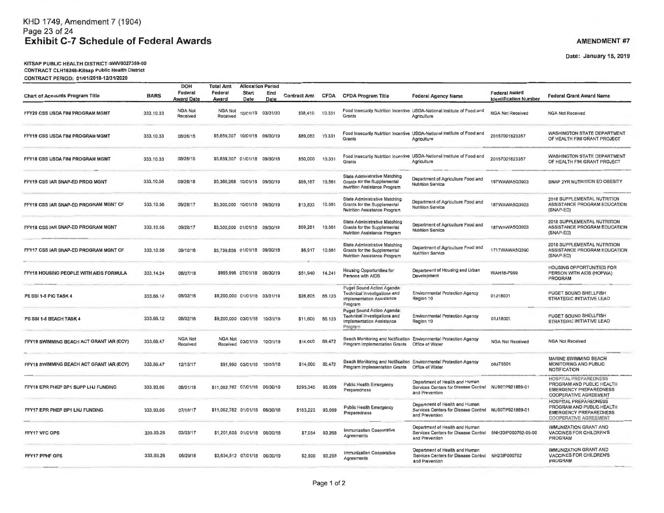# KHO 1749, Amendment 7 (1904) Page 23 of 24 **Exhibit C-7 Schedule of Federal Awards**

DOH

**Total Amt** 

**Allocation Period** 

KITSAP PUBLIC HEALTH DISTRICT-SWV0027359-00 CONTRACT CLH18248-Kitsap Public Health District CONTRACT PERIOD: 01 /01/2018-12/31/2020

**Chart of Accounts Program Title** BARS FFY20 CSS USDA FINI PROGRAM MGMT 333.10.33 FFY19 CSS USDA FINI PROGRAM MGMT 333.10.33 FFY18 CSS USDA FINI PROGRAM MGMT 333.10.33 FFY19 CSS IAR SNAP-ED PROG MGNT 333. 10.56 FFY18 CSS IAR SNAP-ED PROGRAM MGNT CF 333.10.56 FFY18 CSS IAR SNAP-ED PROGRAM MGNT 333.10.56 FFY17 CSS IAR SNAP-ED PROGRAM MGNT CF 333.10.56 FFY18 HOUSING PEOPLE WITH AIDS FORMULA 333.14.24 PS SSI 1-5 PIC TASK 4 333.66.12 PS SSI 1-5 BEACH TASK 4 333.66.12 FFY19 SWIMMING BEACH ACT GRANT IAR (ECY) 333.66.47 FFY18 SWIMMING BEACH ACT GRANT IAR (ECY) 333.66.47 FFY18 EPR PHEP BP1 SUPP LHJ FUNDING 333.93.06 FFY17 EPR PHEP BP1 LHJ FUNDING 333.93.06 FFY17 VFC OPS 333.93.26 FFY17 PPHF OPS 333.93.26 Federal **Award Date** NGA Not **Received**  08/26/15 08/26/15 09/28/18 09/28/17 09/28/17 09110116 08/07/18 08/02/16 08/02/16 NGA Not **Received**  12/15/17 08101118 07/18/17 03/03/17 06129/18 **Federal \_Award**  Start End **Date** Date NGA Not 10/01/19 03/3 1/20 **Received**  55,859,307 10/01/18 09/30/19 \$5,859,307 01/01/18 09130118 55,386,268 10/01/18 09/30/19 \$5,300,000 10/01/18 09/30/19 \$5,300,000 01/01/18 09/30/18 55,739,856 01/01/18 09/30/18 \$955,996 07/01/18 06/30/19 59,200,000 01101118 03/3 1/19 \$9,200,000 03/01/18 10/31/19 NGA Not 03/01/19 10/31/19 **Received**  \$91,990 03/01/18 10/31/18 511,062,782 07/01/18 06/30/19 \$11,062,782 01/01/18 06/30/18 \$1,201 ,605 01/01/18 06130/18 \$3,634 ,512 07/01/18 06/30/19 **Contract Amt** CFDA \$38,410 10.331 \$89,063 10.331 550,000 10.331 CFDA Program Title Federal Agency Name **Food Insecurity Nutrition Incentive USDA-National Institute of Food and Grants Agriculture Food Insecurity Nutrition Incentive USDA-National Institute of Food and Grants Agriculture Food Insecurity Nutrition Incentive USDA-National Institute of Food and**  Grants **Agriculture State Administrative Matching Federal Award Identification Number NGA Not Received**  20157001 823357 20157001823357 **\$69, 167 10.561 Grants for the Supplemental Nutrition Assistance Program Department of Agriculture Food and Department of Agriculture Food and 197WAWA5Q3903**<br>Nutrition Service \$1 3,833 10.561 \$69,281 10.561 \$6,917 10.561 \$51,940 **14.241**  \$28,805 66.123 \$11 ,600 66.123 \$14,000 66.472 \$14,000 66.472 \$295,345 93.069 \$163,223 93.069 57,054 93.268 \$2,500 93.268 **State Administrative Matching Grants fo r the Supplemental Nutrition Assistance Program State Administrative Matching Grants for the Supplemental Nutrition Assistance Program State Administrative Matching Grants for the Supplemental Nutrition Assistance Program Housing Opportunities for Persons with AIDS Puget Sound Action Agenda: Technical Investigations and Implementation Assista nce Program Puget Sound Action Agenda:**<br>Technical investigations and **Department of Agriculture Food and Nutrition Service Department of Agriculture Food and Nutrition Service Department of Agriculture Food and Nutrition Service Department of Housing and Urban Development Environmental Protection Agency Region 10 Environmental Protection Agency Region 10 Implementation Assistance** Programmers.com **Alexander International Programmers**.com in the state of the complete the construction of the complete the construction of the construction of the construction of the construction of the construction of t **Beach Monitoring and Notificalton Environmental Protection Agency Prngram Implementation Grants Office of Water Beach Monitoring and Notificaiton Environmental Protection Agency Program Implementation Grants Orfice of Water Department of Health and Human**  187WAWA5Q3903 187WAWA503903 1717WAWA50390 WAH18-F999 01J18001 01J18001 **NGA Not Received**  OOJ75501 **Public Health Emergency Preparedness Services Centers for Disease Control NU90TP921889-01 Public Health Emergency Preparedness Immunization Cooperative Agreements Immunization Cooperative Agreements and Prevention Department of Health and Human**  Services Centers for Disease Control NU90TP921889-01 **and Prevention Department of Health and Human Services Centers for Disease Control 5NH231P000762-05-00 and Prevention Department of Health and Human Services Centers for Disease Control NH231P000762 and Prevention Federal Grant Award Name NGA Not Received**  WASHINGTON STATE DEPARTMENT OF HEALTH FINI GRANT PROJECT WASHINGTON STATE DEPARTMENT OF HEALTH FINI GRANT PROJECT SNAP 2YR NUTRITION ED OBESITY 2018 SUPPLEMENTAL NUTRITION ASSISTANCE PROGRAM EDUCATION (SNAP-ED) 2018 SUPPLEMENTAL NUTRITION ASSISTANCE PROGRAM EDUCATION (SNAP-ED) 2018 SUPPLEMENTAL NUTRITION ASSISTANCE PROGRAM EDUCATION (SNAP-ED) HOUSING OPPORTUNITIES FOR PERSON WITH AIDS (HOPWA) PROGRAM PUGET SOUND SHELLFISH STRATEGIC INITIATIVE LEAD PUGET SOUND SHELLFISH STRATEGIC INITIATIVE LEAD **NGA Not Received**  MARINE SWIMMING BEACH MONITORING AND PUBLIC NOTIFICATION HOSPITAL PREPAREDNESS PROGRAM AND PUBLIC HEALTH EMERGENCY PREPAREDNESS COOPERATIVE AGREE MENT HOSPITAL PREPAREDNESS PROGRAM AND PUBLIC HEALTH EMERGENCY PREPAREDNESS COOPERATIVE AGREEMENT IMMUNIZATION GRANT AND VACCINES FOR CHILDREN'S PROGRAM IMMUNIZATION GRANT AND VACCINES FOR CHILDREN'S PROGRAM

**AMENDMENT #7** 

Date: January 15, 2019